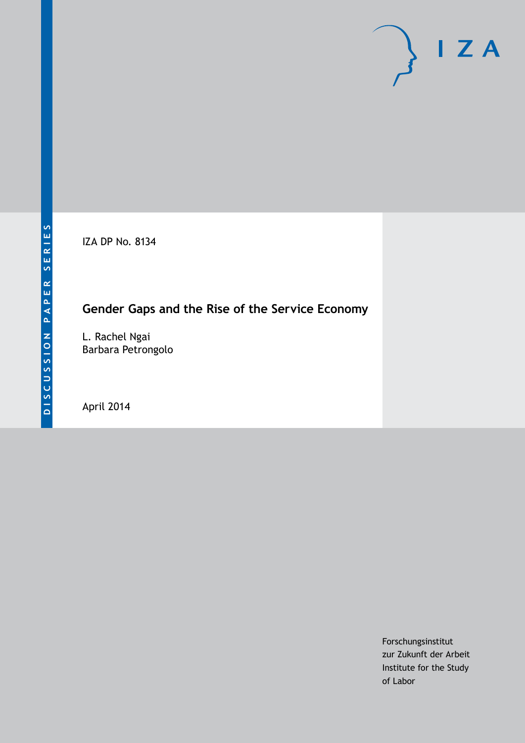IZA DP No. 8134

## **Gender Gaps and the Rise of the Service Economy**

L. Rachel Ngai Barbara Petrongolo

April 2014

Forschungsinstitut zur Zukunft der Arbeit Institute for the Study of Labor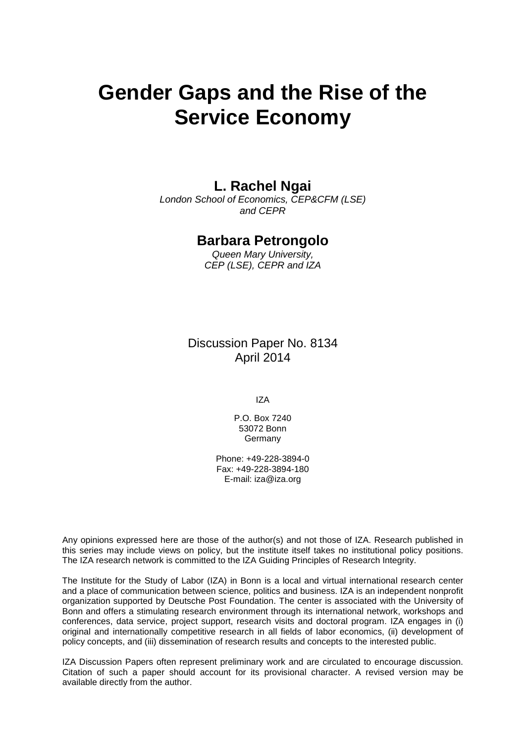# **Gender Gaps and the Rise of the Service Economy**

### **L. Rachel Ngai**

*London School of Economics, CEP&CFM (LSE) and CEPR*

### **Barbara Petrongolo**

*Queen Mary University, CEP (LSE), CEPR and IZA*

Discussion Paper No. 8134 April 2014

IZA

P.O. Box 7240 53072 Bonn **Germany** 

Phone: +49-228-3894-0 Fax: +49-228-3894-180 E-mail: [iza@iza.org](mailto:iza@iza.org)

Any opinions expressed here are those of the author(s) and not those of IZA. Research published in this series may include views on policy, but the institute itself takes no institutional policy positions. The IZA research network is committed to the IZA Guiding Principles of Research Integrity.

The Institute for the Study of Labor (IZA) in Bonn is a local and virtual international research center and a place of communication between science, politics and business. IZA is an independent nonprofit organization supported by Deutsche Post Foundation. The center is associated with the University of Bonn and offers a stimulating research environment through its international network, workshops and conferences, data service, project support, research visits and doctoral program. IZA engages in (i) original and internationally competitive research in all fields of labor economics, (ii) development of policy concepts, and (iii) dissemination of research results and concepts to the interested public.

<span id="page-1-0"></span>IZA Discussion Papers often represent preliminary work and are circulated to encourage discussion. Citation of such a paper should account for its provisional character. A revised version may be available directly from the author.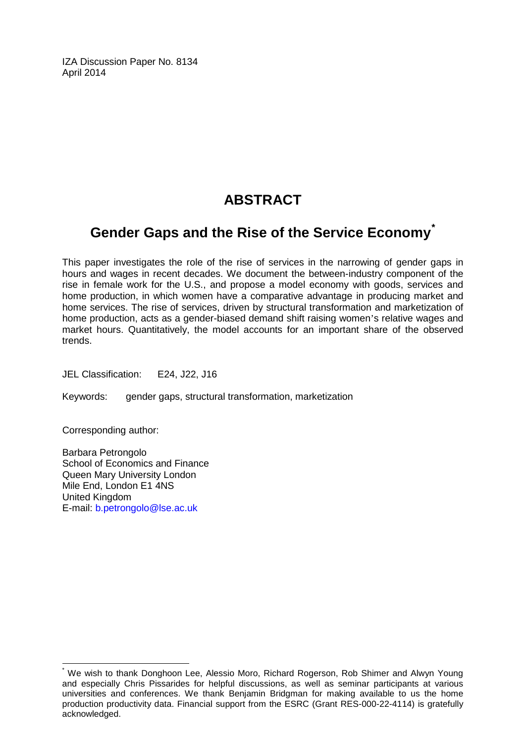IZA Discussion Paper No. 8134 April 2014

## **ABSTRACT**

## **Gender Gaps and the Rise of the Service Economy[\\*](#page-1-0)**

This paper investigates the role of the rise of services in the narrowing of gender gaps in hours and wages in recent decades. We document the between-industry component of the rise in female work for the U.S., and propose a model economy with goods, services and home production, in which women have a comparative advantage in producing market and home services. The rise of services, driven by structural transformation and marketization of home production, acts as a gender-biased demand shift raising women's relative wages and market hours. Quantitatively, the model accounts for an important share of the observed trends.

JEL Classification: E24, J22, J16

Keywords: gender gaps, structural transformation, marketization

Corresponding author:

Barbara Petrongolo School of Economics and Finance Queen Mary University London Mile End, London E1 4NS United Kingdom E-mail: [b.petrongolo@lse.ac.uk](mailto:b.petrongolo@lse.ac.uk)

\* We wish to thank Donghoon Lee, Alessio Moro, Richard Rogerson, Rob Shimer and Alwyn Young and especially Chris Pissarides for helpful discussions, as well as seminar participants at various universities and conferences. We thank Benjamin Bridgman for making available to us the home production productivity data. Financial support from the ESRC (Grant RES-000-22-4114) is gratefully acknowledged.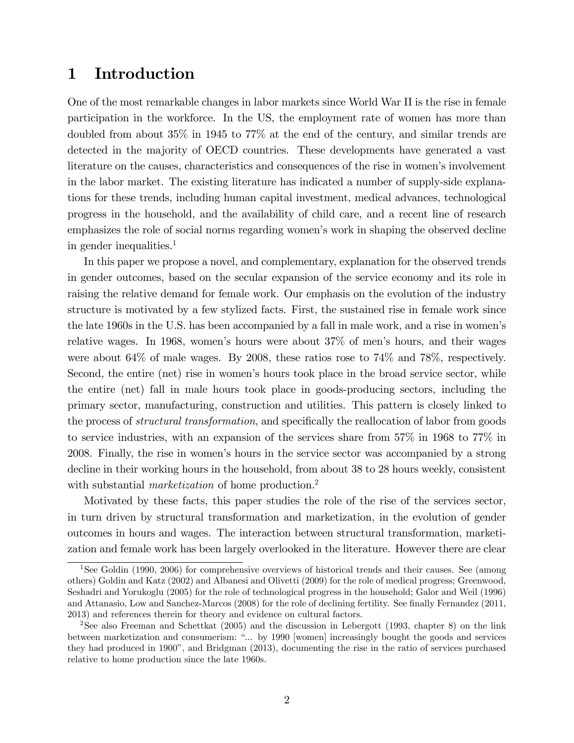## 1 Introduction

One of the most remarkable changes in labor markets since World War II is the rise in female participation in the workforce. In the US, the employment rate of women has more than doubled from about 35% in 1945 to 77% at the end of the century, and similar trends are detected in the majority of OECD countries. These developments have generated a vast literature on the causes, characteristics and consequences of the rise in womenís involvement in the labor market. The existing literature has indicated a number of supply-side explanations for these trends, including human capital investment, medical advances, technological progress in the household, and the availability of child care, and a recent line of research emphasizes the role of social norms regarding women's work in shaping the observed decline in gender inequalities.<sup>1</sup>

In this paper we propose a novel, and complementary, explanation for the observed trends in gender outcomes, based on the secular expansion of the service economy and its role in raising the relative demand for female work. Our emphasis on the evolution of the industry structure is motivated by a few stylized facts. First, the sustained rise in female work since the late 1960s in the U.S. has been accompanied by a fall in male work, and a rise in womenís relative wages. In 1968, women's hours were about  $37\%$  of men's hours, and their wages were about 64% of male wages. By 2008, these ratios rose to 74% and 78%, respectively. Second, the entire (net) rise in women's hours took place in the broad service sector, while the entire (net) fall in male hours took place in goods-producing sectors, including the primary sector, manufacturing, construction and utilities. This pattern is closely linked to the process of *structural transformation*, and specifically the reallocation of labor from goods to service industries, with an expansion of the services share from 57% in 1968 to 77% in 2008. Finally, the rise in women's hours in the service sector was accompanied by a strong decline in their working hours in the household, from about 38 to 28 hours weekly, consistent with substantial *marketization* of home production.<sup>2</sup>

Motivated by these facts, this paper studies the role of the rise of the services sector, in turn driven by structural transformation and marketization, in the evolution of gender outcomes in hours and wages. The interaction between structural transformation, marketization and female work has been largely overlooked in the literature. However there are clear

<sup>&</sup>lt;sup>1</sup>See Goldin (1990, 2006) for comprehensive overviews of historical trends and their causes. See (among others) Goldin and Katz (2002) and Albanesi and Olivetti (2009) for the role of medical progress; Greenwood, Seshadri and Yorukoglu (2005) for the role of technological progress in the household; Galor and Weil (1996) and Attanasio, Low and Sanchez-Marcos (2008) for the role of declining fertility. See finally Fernandez (2011, 2013) and references therein for theory and evidence on cultural factors.

<sup>2</sup>See also Freeman and Schettkat (2005) and the discussion in Lebergott (1993, chapter 8) on the link between marketization and consumerism: "... by 1990 [women] increasingly bought the goods and services they had produced in 1900î, and Bridgman (2013), documenting the rise in the ratio of services purchased relative to home production since the late 1960s.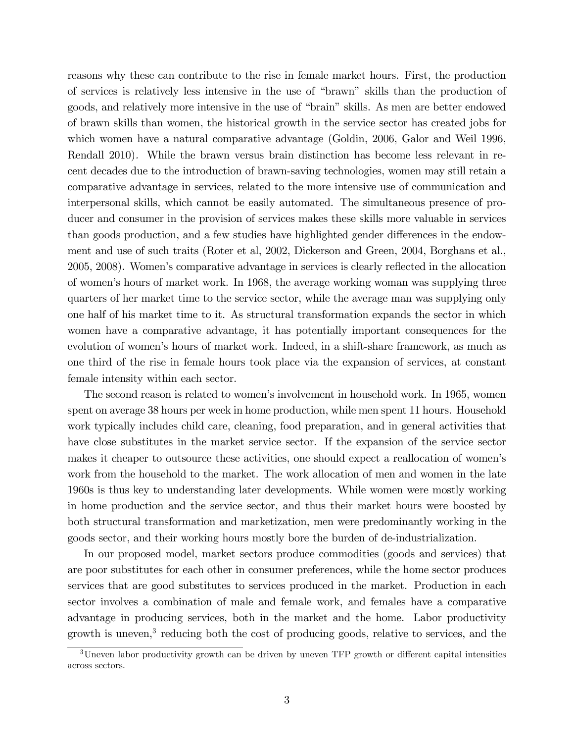reasons why these can contribute to the rise in female market hours. First, the production of services is relatively less intensive in the use of "brawn" skills than the production of goods, and relatively more intensive in the use of "brain" skills. As men are better endowed of brawn skills than women, the historical growth in the service sector has created jobs for which women have a natural comparative advantage (Goldin, 2006, Galor and Weil 1996, Rendall 2010). While the brawn versus brain distinction has become less relevant in recent decades due to the introduction of brawn-saving technologies, women may still retain a comparative advantage in services, related to the more intensive use of communication and interpersonal skills, which cannot be easily automated. The simultaneous presence of producer and consumer in the provision of services makes these skills more valuable in services than goods production, and a few studies have highlighted gender differences in the endowment and use of such traits (Roter et al, 2002, Dickerson and Green, 2004, Borghans et al., 2005, 2008). Women's comparative advantage in services is clearly reflected in the allocation of womenís hours of market work. In 1968, the average working woman was supplying three quarters of her market time to the service sector, while the average man was supplying only one half of his market time to it. As structural transformation expands the sector in which women have a comparative advantage, it has potentially important consequences for the evolution of women's hours of market work. Indeed, in a shift-share framework, as much as one third of the rise in female hours took place via the expansion of services, at constant female intensity within each sector.

The second reason is related to women's involvement in household work. In 1965, women spent on average 38 hours per week in home production, while men spent 11 hours. Household work typically includes child care, cleaning, food preparation, and in general activities that have close substitutes in the market service sector. If the expansion of the service sector makes it cheaper to outsource these activities, one should expect a reallocation of women's work from the household to the market. The work allocation of men and women in the late 1960s is thus key to understanding later developments. While women were mostly working in home production and the service sector, and thus their market hours were boosted by both structural transformation and marketization, men were predominantly working in the goods sector, and their working hours mostly bore the burden of de-industrialization.

In our proposed model, market sectors produce commodities (goods and services) that are poor substitutes for each other in consumer preferences, while the home sector produces services that are good substitutes to services produced in the market. Production in each sector involves a combination of male and female work, and females have a comparative advantage in producing services, both in the market and the home. Labor productivity growth is uneven,<sup>3</sup> reducing both the cost of producing goods, relative to services, and the

 $3$ Uneven labor productivity growth can be driven by uneven TFP growth or different capital intensities across sectors.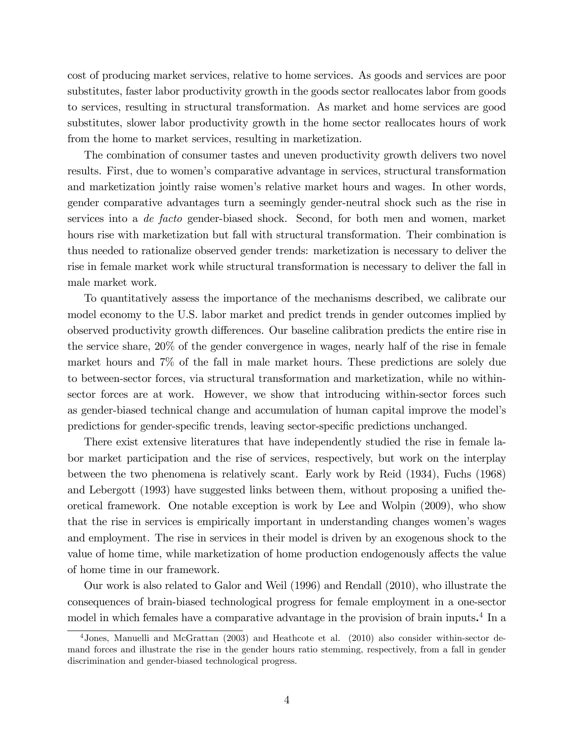cost of producing market services, relative to home services. As goods and services are poor substitutes, faster labor productivity growth in the goods sector reallocates labor from goods to services, resulting in structural transformation. As market and home services are good substitutes, slower labor productivity growth in the home sector reallocates hours of work from the home to market services, resulting in marketization.

The combination of consumer tastes and uneven productivity growth delivers two novel results. First, due to womenís comparative advantage in services, structural transformation and marketization jointly raise womenís relative market hours and wages. In other words, gender comparative advantages turn a seemingly gender-neutral shock such as the rise in services into a de facto gender-biased shock. Second, for both men and women, market hours rise with marketization but fall with structural transformation. Their combination is thus needed to rationalize observed gender trends: marketization is necessary to deliver the rise in female market work while structural transformation is necessary to deliver the fall in male market work.

To quantitatively assess the importance of the mechanisms described, we calibrate our model economy to the U.S. labor market and predict trends in gender outcomes implied by observed productivity growth differences. Our baseline calibration predicts the entire rise in the service share, 20% of the gender convergence in wages, nearly half of the rise in female market hours and 7% of the fall in male market hours. These predictions are solely due to between-sector forces, via structural transformation and marketization, while no withinsector forces are at work. However, we show that introducing within-sector forces such as gender-biased technical change and accumulation of human capital improve the modelís predictions for gender-specific trends, leaving sector-specific predictions unchanged.

There exist extensive literatures that have independently studied the rise in female labor market participation and the rise of services, respectively, but work on the interplay between the two phenomena is relatively scant. Early work by Reid (1934), Fuchs (1968) and Lebergott (1993) have suggested links between them, without proposing a unified theoretical framework. One notable exception is work by Lee and Wolpin (2009), who show that the rise in services is empirically important in understanding changes womenís wages and employment. The rise in services in their model is driven by an exogenous shock to the value of home time, while marketization of home production endogenously affects the value of home time in our framework.

Our work is also related to Galor and Weil (1996) and Rendall (2010), who illustrate the consequences of brain-biased technological progress for female employment in a one-sector model in which females have a comparative advantage in the provision of brain inputs.<sup>4</sup> In a

<sup>4</sup>Jones, Manuelli and McGrattan (2003) and Heathcote et al. (2010) also consider within-sector demand forces and illustrate the rise in the gender hours ratio stemming, respectively, from a fall in gender discrimination and gender-biased technological progress.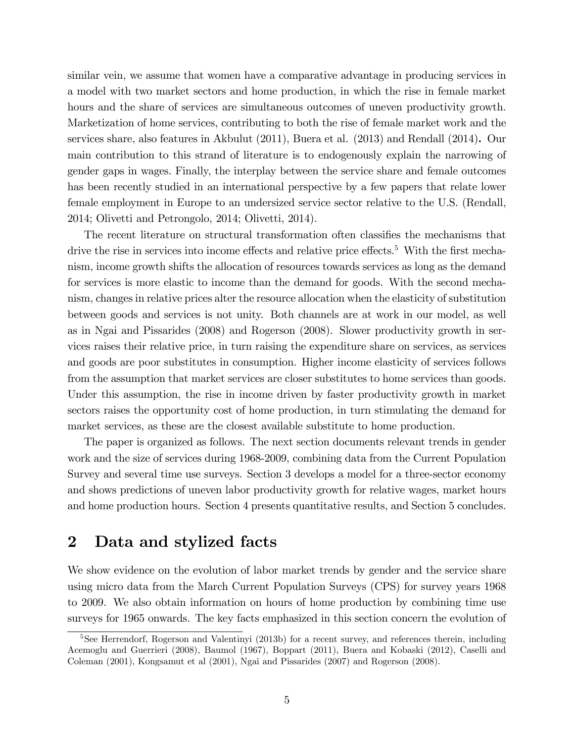similar vein, we assume that women have a comparative advantage in producing services in a model with two market sectors and home production, in which the rise in female market hours and the share of services are simultaneous outcomes of uneven productivity growth. Marketization of home services, contributing to both the rise of female market work and the services share, also features in Akbulut (2011), Buera et al. (2013) and Rendall (2014). Our main contribution to this strand of literature is to endogenously explain the narrowing of gender gaps in wages. Finally, the interplay between the service share and female outcomes has been recently studied in an international perspective by a few papers that relate lower female employment in Europe to an undersized service sector relative to the U.S. (Rendall, 2014; Olivetti and Petrongolo, 2014; Olivetti, 2014).

The recent literature on structural transformation often classifies the mechanisms that drive the rise in services into income effects and relative price effects.<sup>5</sup> With the first mechanism, income growth shifts the allocation of resources towards services as long as the demand for services is more elastic to income than the demand for goods. With the second mechanism, changes in relative prices alter the resource allocation when the elasticity of substitution between goods and services is not unity. Both channels are at work in our model, as well as in Ngai and Pissarides (2008) and Rogerson (2008). Slower productivity growth in services raises their relative price, in turn raising the expenditure share on services, as services and goods are poor substitutes in consumption. Higher income elasticity of services follows from the assumption that market services are closer substitutes to home services than goods. Under this assumption, the rise in income driven by faster productivity growth in market sectors raises the opportunity cost of home production, in turn stimulating the demand for market services, as these are the closest available substitute to home production.

The paper is organized as follows. The next section documents relevant trends in gender work and the size of services during 1968-2009, combining data from the Current Population Survey and several time use surveys. Section 3 develops a model for a three-sector economy and shows predictions of uneven labor productivity growth for relative wages, market hours and home production hours. Section 4 presents quantitative results, and Section 5 concludes.

## 2 Data and stylized facts

We show evidence on the evolution of labor market trends by gender and the service share using micro data from the March Current Population Surveys (CPS) for survey years 1968 to 2009. We also obtain information on hours of home production by combining time use surveys for 1965 onwards. The key facts emphasized in this section concern the evolution of

<sup>&</sup>lt;sup>5</sup>See Herrendorf, Rogerson and Valentinyi (2013b) for a recent survey, and references therein, including Acemoglu and Guerrieri (2008), Baumol (1967), Boppart (2011), Buera and Kobaski (2012), Caselli and Coleman (2001), Kongsamut et al (2001), Ngai and Pissarides (2007) and Rogerson (2008).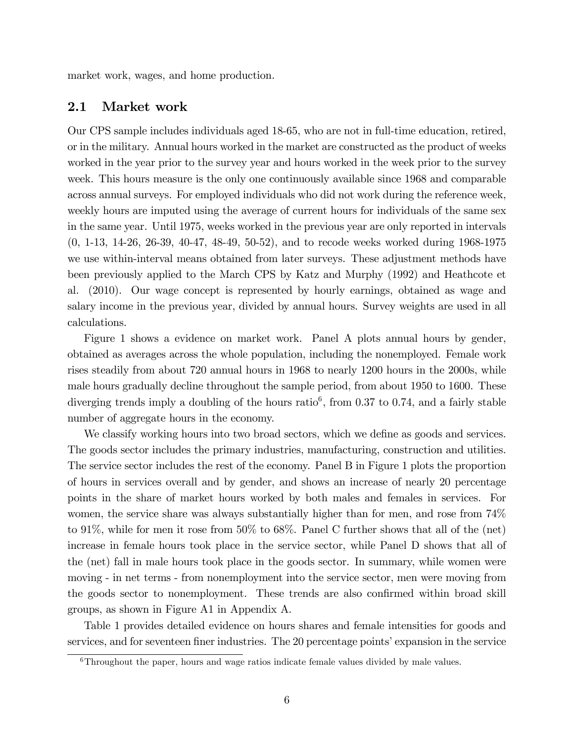market work, wages, and home production.

#### 2.1 Market work

Our CPS sample includes individuals aged 18-65, who are not in full-time education, retired, or in the military. Annual hours worked in the market are constructed as the product of weeks worked in the year prior to the survey year and hours worked in the week prior to the survey week. This hours measure is the only one continuously available since 1968 and comparable across annual surveys. For employed individuals who did not work during the reference week, weekly hours are imputed using the average of current hours for individuals of the same sex in the same year. Until 1975, weeks worked in the previous year are only reported in intervals (0, 1-13, 14-26, 26-39, 40-47, 48-49, 50-52), and to recode weeks worked during 1968-1975 we use within-interval means obtained from later surveys. These adjustment methods have been previously applied to the March CPS by Katz and Murphy (1992) and Heathcote et al. (2010). Our wage concept is represented by hourly earnings, obtained as wage and salary income in the previous year, divided by annual hours. Survey weights are used in all calculations.

Figure 1 shows a evidence on market work. Panel A plots annual hours by gender, obtained as averages across the whole population, including the nonemployed. Female work rises steadily from about 720 annual hours in 1968 to nearly 1200 hours in the 2000s, while male hours gradually decline throughout the sample period, from about 1950 to 1600. These diverging trends imply a doubling of the hours ratio<sup>6</sup>, from 0.37 to 0.74, and a fairly stable number of aggregate hours in the economy.

We classify working hours into two broad sectors, which we define as goods and services. The goods sector includes the primary industries, manufacturing, construction and utilities. The service sector includes the rest of the economy. Panel B in Figure 1 plots the proportion of hours in services overall and by gender, and shows an increase of nearly 20 percentage points in the share of market hours worked by both males and females in services. For women, the service share was always substantially higher than for men, and rose from 74% to 91%, while for men it rose from 50% to 68%. Panel C further shows that all of the (net) increase in female hours took place in the service sector, while Panel D shows that all of the (net) fall in male hours took place in the goods sector. In summary, while women were moving - in net terms - from nonemployment into the service sector, men were moving from the goods sector to nonemployment. These trends are also confirmed within broad skill groups, as shown in Figure A1 in Appendix A.

Table 1 provides detailed evidence on hours shares and female intensities for goods and services, and for seventeen finer industries. The 20 percentage points' expansion in the service

 $6$ Throughout the paper, hours and wage ratios indicate female values divided by male values.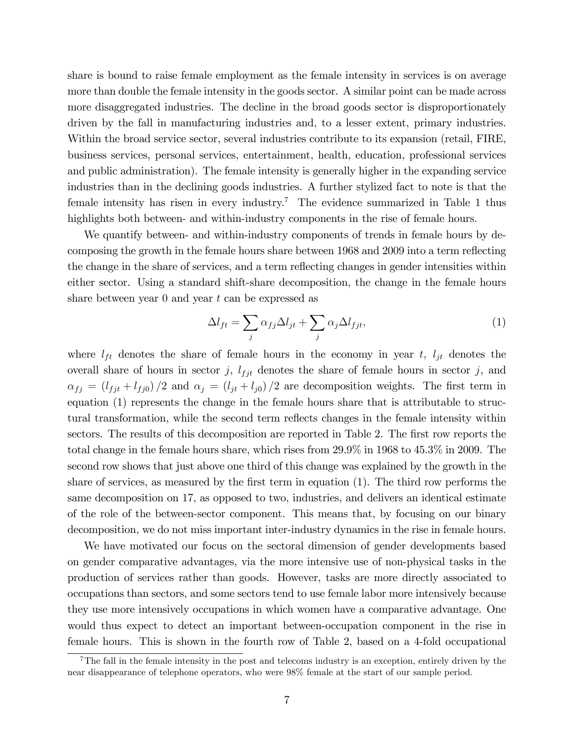share is bound to raise female employment as the female intensity in services is on average more than double the female intensity in the goods sector. A similar point can be made across more disaggregated industries. The decline in the broad goods sector is disproportionately driven by the fall in manufacturing industries and, to a lesser extent, primary industries. Within the broad service sector, several industries contribute to its expansion (retail, FIRE, business services, personal services, entertainment, health, education, professional services and public administration). The female intensity is generally higher in the expanding service industries than in the declining goods industries. A further stylized fact to note is that the female intensity has risen in every industry.<sup>7</sup> The evidence summarized in Table 1 thus highlights both between- and within-industry components in the rise of female hours.

We quantify between- and within-industry components of trends in female hours by decomposing the growth in the female hours share between 1968 and 2009 into a term reflecting the change in the share of services, and a term reflecting changes in gender intensities within either sector. Using a standard shift-share decomposition, the change in the female hours share between year  $0$  and year  $t$  can be expressed as

$$
\Delta l_{ft} = \sum_{j} \alpha_{fj} \Delta l_{jt} + \sum_{j} \alpha_{j} \Delta l_{fjt}, \qquad (1)
$$

where  $l_{ft}$  denotes the share of female hours in the economy in year t,  $l_{jt}$  denotes the overall share of hours in sector j,  $l_{fit}$  denotes the share of female hours in sector j, and  $f_{f} = (l_{fjt} + l_{fj0})/2$  and  $f_{j} = (l_{jt} + l_{j0})/2$  are decomposition weights. The first term in equation (1) represents the change in the female hours share that is attributable to structural transformation, while the second term reflects changes in the female intensity within sectors. The results of this decomposition are reported in Table 2. The first row reports the total change in the female hours share, which rises from 29.9% in 1968 to 45.3% in 2009. The second row shows that just above one third of this change was explained by the growth in the share of services, as measured by the first term in equation (1). The third row performs the same decomposition on 17, as opposed to two, industries, and delivers an identical estimate of the role of the between-sector component. This means that, by focusing on our binary decomposition, we do not miss important inter-industry dynamics in the rise in female hours.

We have motivated our focus on the sectoral dimension of gender developments based on gender comparative advantages, via the more intensive use of non-physical tasks in the production of services rather than goods. However, tasks are more directly associated to occupations than sectors, and some sectors tend to use female labor more intensively because they use more intensively occupations in which women have a comparative advantage. One would thus expect to detect an important between-occupation component in the rise in female hours. This is shown in the fourth row of Table 2, based on a 4-fold occupational

<sup>&</sup>lt;sup>7</sup>The fall in the female intensity in the post and telecoms industry is an exception, entirely driven by the near disappearance of telephone operators, who were 98% female at the start of our sample period.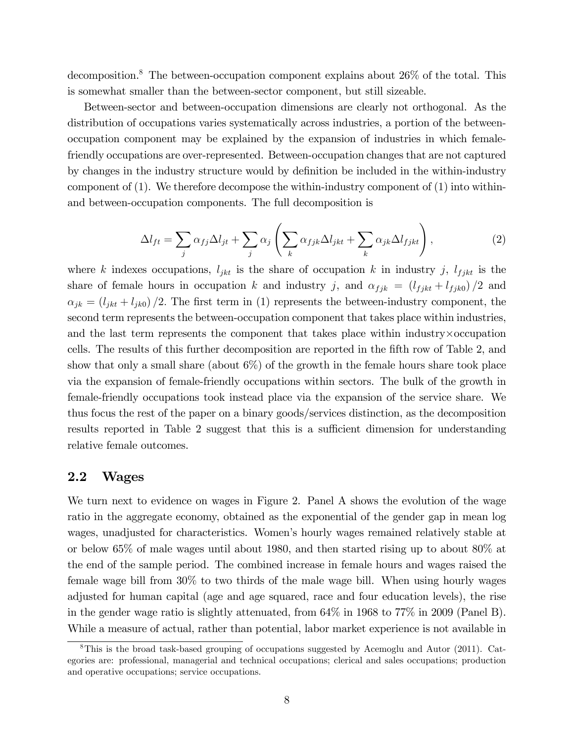decomposition.<sup>8</sup> The between-occupation component explains about 26% of the total. This is somewhat smaller than the between-sector component, but still sizeable.

Between-sector and between-occupation dimensions are clearly not orthogonal. As the distribution of occupations varies systematically across industries, a portion of the betweenoccupation component may be explained by the expansion of industries in which femalefriendly occupations are over-represented. Between-occupation changes that are not captured by changes in the industry structure would by definition be included in the within-industry component of (1). We therefore decompose the within-industry component of (1) into withinand between-occupation components. The full decomposition is

$$
\Delta l_{ft} = \sum_{j} \alpha_{fj} \Delta l_{jt} + \sum_{j} \alpha_{j} \left( \sum_{k} \alpha_{fjk} \Delta l_{jkt} + \sum_{k} \alpha_{jk} \Delta l_{fjkt} \right), \qquad (2)
$$

where k indexes occupations,  $l_{jkt}$  is the share of occupation k in industry j,  $l_{f jkt}$  is the share of female hours in occupation k and industry j, and  $\alpha_{fjk} = (l_{fjkt} + l_{fjk0})/2$  and  $\alpha_{jk} = (l_{jkt} + l_{jk0})/2$ . The first term in (1) represents the between-industry component, the second term represents the between-occupation component that takes place within industries, and the last term represents the component that takes place within industry  $\times$  occupation cells. The results of this further decomposition are reported in the fifth row of Table 2, and show that only a small share (about  $6\%$ ) of the growth in the female hours share took place via the expansion of female-friendly occupations within sectors. The bulk of the growth in female-friendly occupations took instead place via the expansion of the service share. We thus focus the rest of the paper on a binary goods/services distinction, as the decomposition results reported in Table 2 suggest that this is a sufficient dimension for understanding relative female outcomes.

#### 2.2 Wages

We turn next to evidence on wages in Figure 2. Panel A shows the evolution of the wage ratio in the aggregate economy, obtained as the exponential of the gender gap in mean log wages, unadjusted for characteristics. Women's hourly wages remained relatively stable at or below 65% of male wages until about 1980, and then started rising up to about 80% at the end of the sample period. The combined increase in female hours and wages raised the female wage bill from 30% to two thirds of the male wage bill. When using hourly wages adjusted for human capital (age and age squared, race and four education levels), the rise in the gender wage ratio is slightly attenuated, from 64% in 1968 to 77% in 2009 (Panel B). While a measure of actual, rather than potential, labor market experience is not available in

 $8$ This is the broad task-based grouping of occupations suggested by Acemoglu and Autor (2011). Categories are: professional, managerial and technical occupations; clerical and sales occupations; production and operative occupations; service occupations.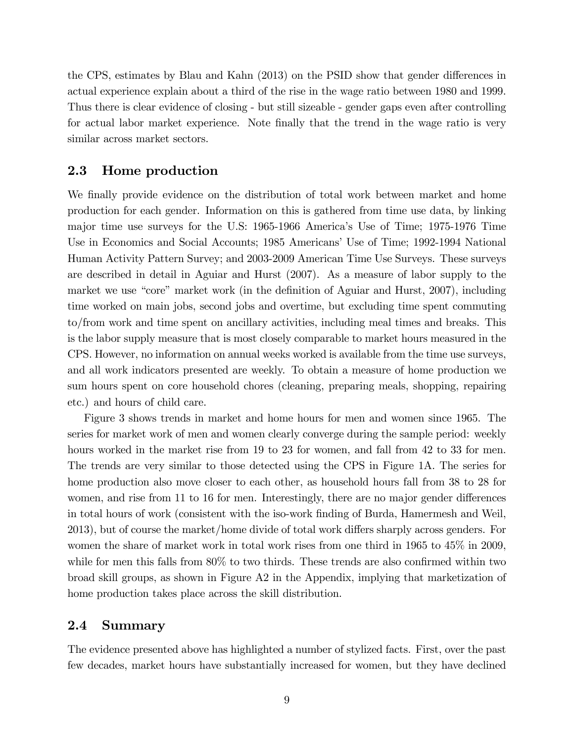the CPS, estimates by Blau and Kahn (2013) on the PSID show that gender differences in actual experience explain about a third of the rise in the wage ratio between 1980 and 1999. Thus there is clear evidence of closing - but still sizeable - gender gaps even after controlling for actual labor market experience. Note finally that the trend in the wage ratio is very similar across market sectors.

#### 2.3 Home production

We finally provide evidence on the distribution of total work between market and home production for each gender. Information on this is gathered from time use data, by linking major time use surveys for the U.S: 1965-1966 Americaís Use of Time; 1975-1976 Time Use in Economics and Social Accounts; 1985 Americans' Use of Time; 1992-1994 National Human Activity Pattern Survey; and 2003-2009 American Time Use Surveys. These surveys are described in detail in Aguiar and Hurst (2007). As a measure of labor supply to the market we use "core" market work (in the definition of Aguiar and Hurst, 2007), including time worked on main jobs, second jobs and overtime, but excluding time spent commuting to/from work and time spent on ancillary activities, including meal times and breaks. This is the labor supply measure that is most closely comparable to market hours measured in the CPS. However, no information on annual weeks worked is available from the time use surveys, and all work indicators presented are weekly. To obtain a measure of home production we sum hours spent on core household chores (cleaning, preparing meals, shopping, repairing etc.) and hours of child care.

Figure 3 shows trends in market and home hours for men and women since 1965. The series for market work of men and women clearly converge during the sample period: weekly hours worked in the market rise from 19 to 23 for women, and fall from 42 to 33 for men. The trends are very similar to those detected using the CPS in Figure 1A. The series for home production also move closer to each other, as household hours fall from 38 to 28 for women, and rise from 11 to 16 for men. Interestingly, there are no major gender differences in total hours of work (consistent with the iso-work Önding of Burda, Hamermesh and Weil, 2013), but of course the market/home divide of total work differs sharply across genders. For women the share of market work in total work rises from one third in 1965 to 45% in 2009, while for men this falls from  $80\%$  to two thirds. These trends are also confirmed within two broad skill groups, as shown in Figure A2 in the Appendix, implying that marketization of home production takes place across the skill distribution.

#### 2.4 Summary

The evidence presented above has highlighted a number of stylized facts. First, over the past few decades, market hours have substantially increased for women, but they have declined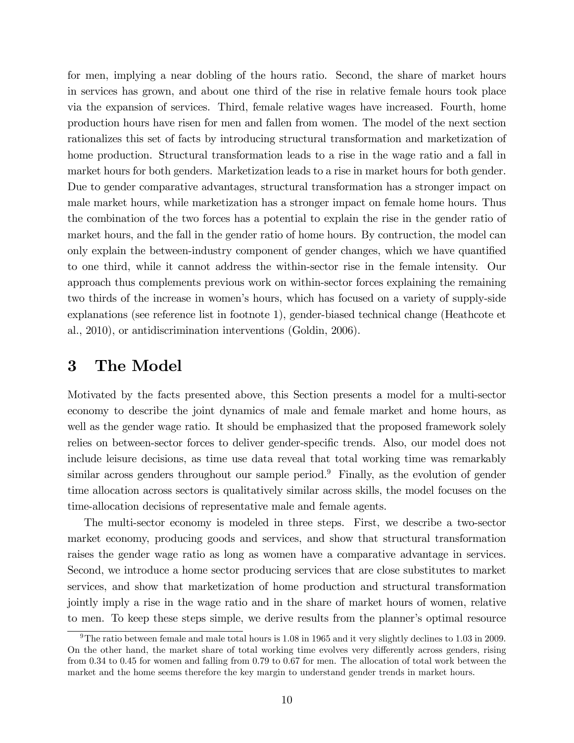for men, implying a near dobling of the hours ratio. Second, the share of market hours in services has grown, and about one third of the rise in relative female hours took place via the expansion of services. Third, female relative wages have increased. Fourth, home production hours have risen for men and fallen from women. The model of the next section rationalizes this set of facts by introducing structural transformation and marketization of home production. Structural transformation leads to a rise in the wage ratio and a fall in market hours for both genders. Marketization leads to a rise in market hours for both gender. Due to gender comparative advantages, structural transformation has a stronger impact on male market hours, while marketization has a stronger impact on female home hours. Thus the combination of the two forces has a potential to explain the rise in the gender ratio of market hours, and the fall in the gender ratio of home hours. By contruction, the model can only explain the between-industry component of gender changes, which we have quantified to one third, while it cannot address the within-sector rise in the female intensity. Our approach thus complements previous work on within-sector forces explaining the remaining two thirds of the increase in women's hours, which has focused on a variety of supply-side explanations (see reference list in footnote 1), gender-biased technical change (Heathcote et al., 2010), or antidiscrimination interventions (Goldin, 2006).

## 3 The Model

Motivated by the facts presented above, this Section presents a model for a multi-sector economy to describe the joint dynamics of male and female market and home hours, as well as the gender wage ratio. It should be emphasized that the proposed framework solely relies on between-sector forces to deliver gender-specific trends. Also, our model does not include leisure decisions, as time use data reveal that total working time was remarkably similar across genders throughout our sample period.<sup>9</sup> Finally, as the evolution of gender time allocation across sectors is qualitatively similar across skills, the model focuses on the time-allocation decisions of representative male and female agents.

The multi-sector economy is modeled in three steps. First, we describe a two-sector market economy, producing goods and services, and show that structural transformation raises the gender wage ratio as long as women have a comparative advantage in services. Second, we introduce a home sector producing services that are close substitutes to market services, and show that marketization of home production and structural transformation jointly imply a rise in the wage ratio and in the share of market hours of women, relative to men. To keep these steps simple, we derive results from the planner's optimal resource

<sup>9</sup>The ratio between female and male total hours is 1.08 in 1965 and it very slightly declines to 1.03 in 2009. On the other hand, the market share of total working time evolves very differently across genders, rising from 0.34 to 0.45 for women and falling from 0.79 to 0.67 for men. The allocation of total work between the market and the home seems therefore the key margin to understand gender trends in market hours.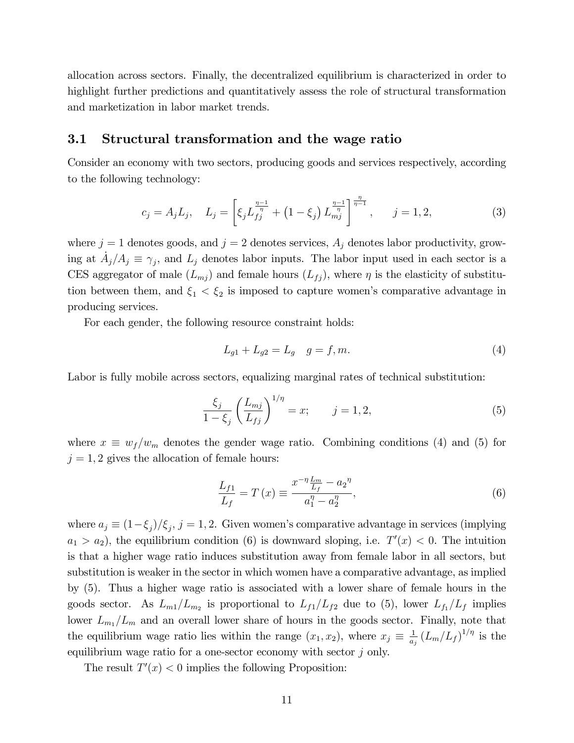allocation across sectors. Finally, the decentralized equilibrium is characterized in order to highlight further predictions and quantitatively assess the role of structural transformation and marketization in labor market trends.

#### 3.1 Structural transformation and the wage ratio

Consider an economy with two sectors, producing goods and services respectively, according to the following technology:

$$
c_j = A_j L_j, \quad L_j = \left[ \xi_j L_{fj}^{\frac{\eta-1}{\eta}} + \left( 1 - \xi_j \right) L_{mj}^{\frac{\eta-1}{\eta}} \right]^{\frac{\eta}{\eta-1}}, \quad j = 1, 2, \tag{3}
$$

where  $j = 1$  denotes goods, and  $j = 2$  denotes services,  $A_j$  denotes labor productivity, growing at  $\dot{A}_j/A_j \equiv \gamma_j$ , and  $L_j$  denotes labor inputs. The labor input used in each sector is a CES aggregator of male  $(L_{mj})$  and female hours  $(L_{jj})$ , where  $\eta$  is the elasticity of substitution between them, and  $\xi_1 < \xi_2$  is imposed to capture women's comparative advantage in producing services.

For each gender, the following resource constraint holds:

$$
L_{g1} + L_{g2} = L_g \quad g = f, m. \tag{4}
$$

Labor is fully mobile across sectors, equalizing marginal rates of technical substitution:

$$
\frac{\xi_j}{1 - \xi_j} \left( \frac{L_{mj}}{L_{fj}} \right)^{1/\eta} = x; \qquad j = 1, 2,
$$
\n(5)

where  $x \equiv w_f/w_m$  denotes the gender wage ratio. Combining conditions (4) and (5) for  $j = 1, 2$  gives the allocation of female hours:

$$
\frac{L_{f1}}{L_f} = T(x) \equiv \frac{x^{-\eta} \frac{L_m}{L_f} - a_2^{\eta}}{a_1^{\eta} - a_2^{\eta}},
$$
\n(6)

where  $a_j \equiv (1-\xi_j)/\xi_j$ ,  $j = 1, 2$ . Given women's comparative advantage in services (implying  $a_1 > a_2$ ), the equilibrium condition (6) is downward sloping, i.e.  $T'(x) < 0$ . The intuition is that a higher wage ratio induces substitution away from female labor in all sectors, but substitution is weaker in the sector in which women have a comparative advantage, as implied by (5). Thus a higher wage ratio is associated with a lower share of female hours in the goods sector. As  $L_{m1}/L_{m2}$  is proportional to  $L_{f1}/L_{f2}$  due to (5), lower  $L_{f1}/L_{f}$  implies lower  $L_{m_1}/L_m$  and an overall lower share of hours in the goods sector. Finally, note that the equilibrium wage ratio lies within the range  $(x_1, x_2)$ , where  $x_j \equiv \frac{1}{a_j}$  $\frac{1}{a_j}\left(L_m/L_f\right)^{1/\eta}$  is the equilibrium wage ratio for a one-sector economy with sector j only.

The result  $T'(x) < 0$  implies the following Proposition: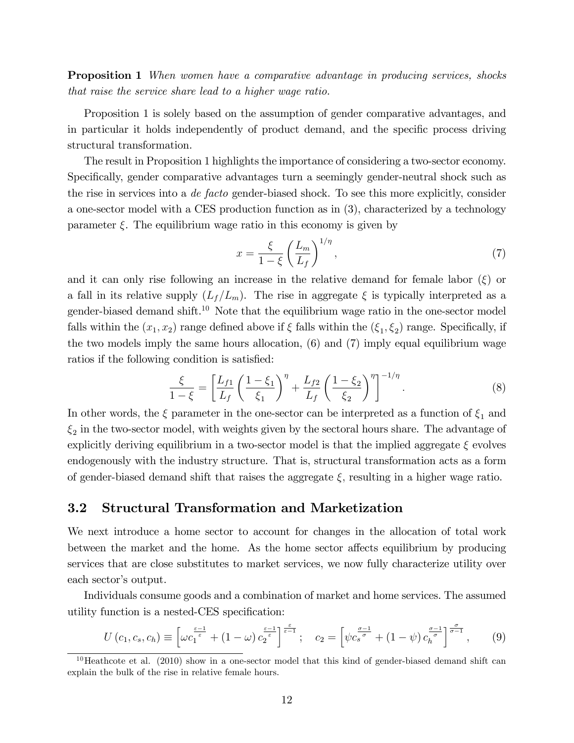**Proposition 1** When women have a comparative advantage in producing services, shocks that raise the service share lead to a higher wage ratio.

Proposition 1 is solely based on the assumption of gender comparative advantages, and in particular it holds independently of product demand, and the specific process driving structural transformation.

The result in Proposition 1 highlights the importance of considering a two-sector economy. Specifically, gender comparative advantages turn a seemingly gender-neutral shock such as the rise in services into a *de facto* gender-biased shock. To see this more explicitly, consider a one-sector model with a CES production function as in (3), characterized by a technology parameter  $\xi$ . The equilibrium wage ratio in this economy is given by

$$
x = \frac{\xi}{1 - \xi} \left(\frac{L_m}{L_f}\right)^{1/\eta},\tag{7}
$$

and it can only rise following an increase in the relative demand for female labor  $(\xi)$  or a fall in its relative supply  $(L_f/L_m)$ . The rise in aggregate  $\xi$  is typically interpreted as a gender-biased demand shift.<sup>10</sup> Note that the equilibrium wage ratio in the one-sector model falls within the  $(x_1, x_2)$  range defined above if  $\xi$  falls within the  $(\xi_1, \xi_2)$  range. Specifically, if the two models imply the same hours allocation, (6) and (7) imply equal equilibrium wage ratios if the following condition is satisfied:

$$
\frac{\xi}{1-\xi} = \left[\frac{L_{f1}}{L_f} \left(\frac{1-\xi_1}{\xi_1}\right)^{\eta} + \frac{L_{f2}}{L_f} \left(\frac{1-\xi_2}{\xi_2}\right)^{\eta}\right]^{-1/\eta}.
$$
\n(8)

In other words, the  $\xi$  parameter in the one-sector can be interpreted as a function of  $\xi_1$  and  $\xi_2$  in the two-sector model, with weights given by the sectoral hours share. The advantage of explicitly deriving equilibrium in a two-sector model is that the implied aggregate  $\xi$  evolves endogenously with the industry structure. That is, structural transformation acts as a form of gender-biased demand shift that raises the aggregate  $\xi$ , resulting in a higher wage ratio.

#### 3.2 Structural Transformation and Marketization

We next introduce a home sector to account for changes in the allocation of total work between the market and the home. As the home sector affects equilibrium by producing services that are close substitutes to market services, we now fully characterize utility over each sector's output.

Individuals consume goods and a combination of market and home services. The assumed utility function is a nested-CES specification:

$$
U\left(c_1,c_s,c_h\right) \equiv \left[\omega c_1^{\frac{\varepsilon-1}{\varepsilon}} + (1-\omega) c_2^{\frac{\varepsilon-1}{\varepsilon}}\right]^{\frac{\varepsilon}{\varepsilon-1}}; \quad c_2 = \left[\psi c_s^{\frac{\sigma-1}{\sigma}} + (1-\psi) c_h^{\frac{\sigma-1}{\sigma}}\right]^{\frac{\sigma}{\sigma-1}},\tag{9}
$$

 $10$  Heathcote et al. (2010) show in a one-sector model that this kind of gender-biased demand shift can explain the bulk of the rise in relative female hours.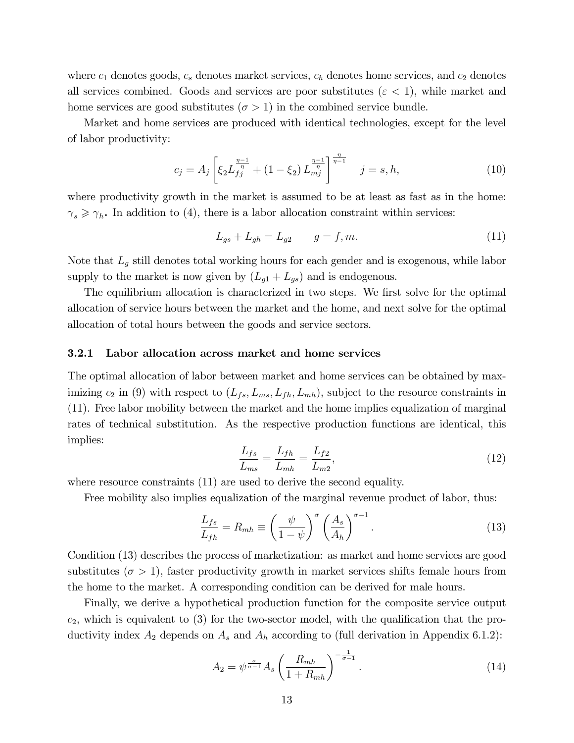where  $c_1$  denotes goods,  $c_s$  denotes market services,  $c_h$  denotes home services, and  $c_2$  denotes all services combined. Goods and services are poor substitutes ( $\varepsilon$  < 1), while market and home services are good substitutes ( $\sigma > 1$ ) in the combined service bundle.

Market and home services are produced with identical technologies, except for the level of labor productivity:

$$
c_j = A_j \left[ \xi_2 L_{fj}^{\frac{\eta - 1}{\eta}} + (1 - \xi_2) L_{mj}^{\frac{\eta - 1}{\eta}} \right]^{\frac{\eta}{\eta - 1}} \quad j = s, h,
$$
\n(10)

where productivity growth in the market is assumed to be at least as fast as in the home:  $\gamma_s \geq \gamma_h$ . In addition to (4), there is a labor allocation constraint within services:

$$
L_{gs} + L_{gh} = L_{g2} \t\t g = f, m. \t\t(11)
$$

Note that  $L_g$  still denotes total working hours for each gender and is exogenous, while labor supply to the market is now given by  $(L_{g1} + L_{gs})$  and is endogenous.

The equilibrium allocation is characterized in two steps. We first solve for the optimal allocation of service hours between the market and the home, and next solve for the optimal allocation of total hours between the goods and service sectors.

#### 3.2.1 Labor allocation across market and home services

The optimal allocation of labor between market and home services can be obtained by maximizing  $c_2$  in (9) with respect to  $(L_{fs}, L_{ms}, L_{fh}, L_{mh})$ , subject to the resource constraints in (11). Free labor mobility between the market and the home implies equalization of marginal rates of technical substitution. As the respective production functions are identical, this implies:

$$
\frac{L_{fs}}{L_{ms}} = \frac{L_{fh}}{L_{mh}} = \frac{L_{f2}}{L_{m2}},
$$
\n(12)

where resource constraints (11) are used to derive the second equality.

Free mobility also implies equalization of the marginal revenue product of labor, thus:

$$
\frac{L_{fs}}{L_{fh}} = R_{mh} \equiv \left(\frac{\psi}{1-\psi}\right)^{\sigma} \left(\frac{A_s}{A_h}\right)^{\sigma-1}.
$$
\n(13)

Condition (13) describes the process of marketization: as market and home services are good substitutes ( $\sigma > 1$ ), faster productivity growth in market services shifts female hours from the home to the market. A corresponding condition can be derived for male hours.

Finally, we derive a hypothetical production function for the composite service output  $c_2$ , which is equivalent to (3) for the two-sector model, with the qualification that the productivity index  $A_2$  depends on  $A_s$  and  $A_h$  according to (full derivation in Appendix 6.1.2):

$$
A_2 = \psi^{\frac{\sigma}{\sigma-1}} A_s \left(\frac{R_{mh}}{1 + R_{mh}}\right)^{-\frac{1}{\sigma-1}}.
$$
\n(14)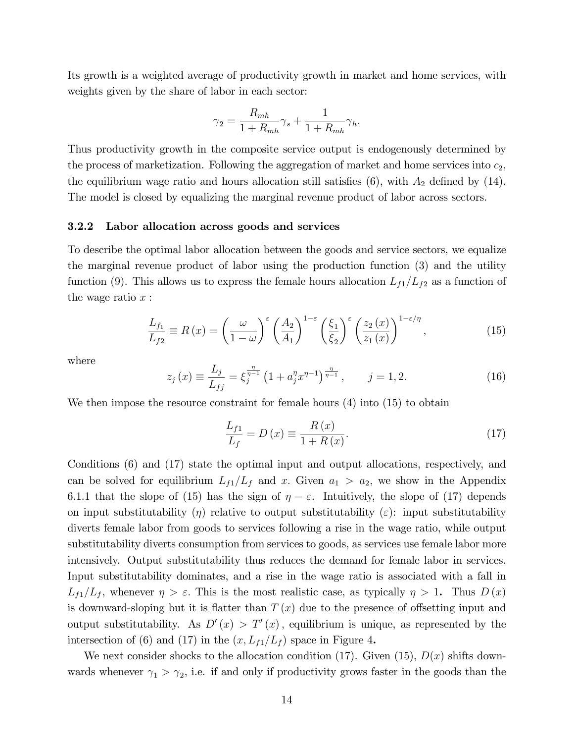Its growth is a weighted average of productivity growth in market and home services, with weights given by the share of labor in each sector:

$$
\gamma_2 = \frac{R_{mh}}{1 + R_{mh}} \gamma_s + \frac{1}{1 + R_{mh}} \gamma_h.
$$

Thus productivity growth in the composite service output is endogenously determined by the process of marketization. Following the aggregation of market and home services into  $c_2$ , the equilibrium wage ratio and hours allocation still satisfies  $(6)$ , with  $A_2$  defined by  $(14)$ . The model is closed by equalizing the marginal revenue product of labor across sectors.

#### 3.2.2 Labor allocation across goods and services

To describe the optimal labor allocation between the goods and service sectors, we equalize the marginal revenue product of labor using the production function (3) and the utility function (9). This allows us to express the female hours allocation  $L_{f1}/L_{f2}$  as a function of the wage ratio  $x$ :

$$
\frac{L_{f_1}}{L_{f2}} \equiv R\left(x\right) = \left(\frac{\omega}{1-\omega}\right)^{\varepsilon} \left(\frac{A_2}{A_1}\right)^{1-\varepsilon} \left(\frac{\xi_1}{\xi_2}\right)^{\varepsilon} \left(\frac{z_2\left(x\right)}{z_1\left(x\right)}\right)^{1-\varepsilon/\eta},\tag{15}
$$

where

$$
z_j(x) \equiv \frac{L_j}{L_{fj}} = \xi_j^{\frac{\eta}{\eta - 1}} \left( 1 + a_j^{\eta} x^{\eta - 1} \right)^{\frac{\eta}{\eta - 1}}, \qquad j = 1, 2.
$$
 (16)

We then impose the resource constraint for female hours  $(4)$  into  $(15)$  to obtain

$$
\frac{L_{f1}}{L_f} = D\left(x\right) \equiv \frac{R\left(x\right)}{1 + R\left(x\right)}.\tag{17}
$$

Conditions (6) and (17) state the optimal input and output allocations, respectively, and can be solved for equilibrium  $L_{f1}/L_f$  and x. Given  $a_1 > a_2$ , we show in the Appendix 6.1.1 that the slope of (15) has the sign of  $\eta - \varepsilon$ . Intuitively, the slope of (17) depends on input substitutability ( $\eta$ ) relative to output substitutability ( $\varepsilon$ ): input substitutability diverts female labor from goods to services following a rise in the wage ratio, while output substitutability diverts consumption from services to goods, as services use female labor more intensively. Output substitutability thus reduces the demand for female labor in services. Input substitutability dominates, and a rise in the wage ratio is associated with a fall in  $L_{f1}/L_f$ , whenever  $\eta > \varepsilon$ . This is the most realistic case, as typically  $\eta > 1$ . Thus  $D(x)$ is downward-sloping but it is flatter than  $T(x)$  due to the presence of offsetting input and output substitutability. As  $D'(x) > T'(x)$ , equilibrium is unique, as represented by the intersection of (6) and (17) in the  $(x, L_{f1}/L_f)$  space in Figure 4.

We next consider shocks to the allocation condition (17). Given (15),  $D(x)$  shifts downwards whenever  $\gamma_1 > \gamma_2$ , i.e. if and only if productivity grows faster in the goods than the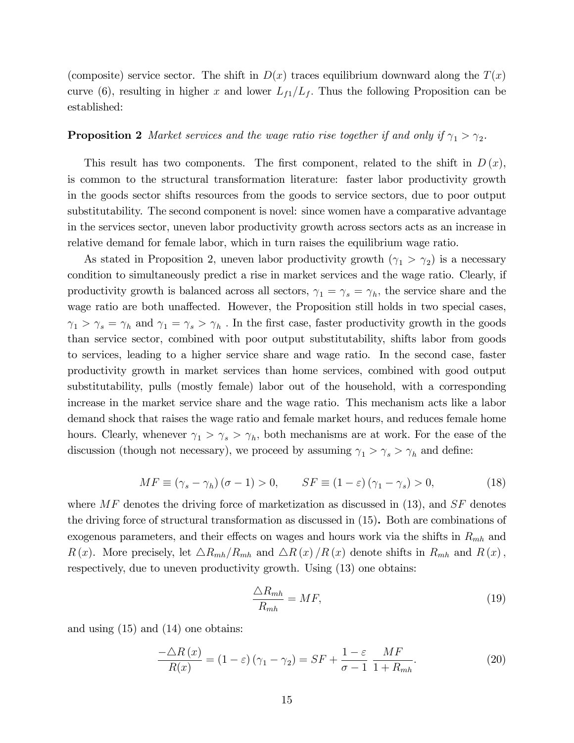(composite) service sector. The shift in  $D(x)$  traces equilibrium downward along the  $T(x)$ curve (6), resulting in higher x and lower  $L_{f1}/L_f$ . Thus the following Proposition can be established:

#### **Proposition 2** Market services and the wage ratio rise together if and only if  $\gamma_1 > \gamma_2$ .

This result has two components. The first component, related to the shift in  $D(x)$ , is common to the structural transformation literature: faster labor productivity growth in the goods sector shifts resources from the goods to service sectors, due to poor output substitutability. The second component is novel: since women have a comparative advantage in the services sector, uneven labor productivity growth across sectors acts as an increase in relative demand for female labor, which in turn raises the equilibrium wage ratio.

As stated in Proposition 2, uneven labor productivity growth  $(\gamma_1 > \gamma_2)$  is a necessary condition to simultaneously predict a rise in market services and the wage ratio. Clearly, if productivity growth is balanced across all sectors,  $\gamma_1 = \gamma_s = \gamma_h$ , the service share and the wage ratio are both unaffected. However, the Proposition still holds in two special cases,  $\gamma_1 > \gamma_s = \gamma_h$  and  $\gamma_1 = \gamma_s > \gamma_h$ . In the first case, faster productivity growth in the goods than service sector, combined with poor output substitutability, shifts labor from goods to services, leading to a higher service share and wage ratio. In the second case, faster productivity growth in market services than home services, combined with good output substitutability, pulls (mostly female) labor out of the household, with a corresponding increase in the market service share and the wage ratio. This mechanism acts like a labor demand shock that raises the wage ratio and female market hours, and reduces female home hours. Clearly, whenever  $\gamma_1 > \gamma_s > \gamma_h$ , both mechanisms are at work. For the ease of the discussion (though not necessary), we proceed by assuming  $\gamma_1 > \gamma_s > \gamma_h$  and define:

$$
MF \equiv (\gamma_s - \gamma_h) (\sigma - 1) > 0, \qquad SF \equiv (1 - \varepsilon) (\gamma_1 - \gamma_s) > 0,\tag{18}
$$

where  $MF$  denotes the driving force of marketization as discussed in (13), and  $SF$  denotes the driving force of structural transformation as discussed in (15). Both are combinations of exogenous parameters, and their effects on wages and hours work via the shifts in  $R_{mh}$  and R(x). More precisely, let  $\Delta R_{mh}/R_{mh}$  and  $\Delta R (x) /R (x)$  denote shifts in  $R_{mh}$  and  $R (x)$ , respectively, due to uneven productivity growth. Using (13) one obtains:

$$
\frac{\triangle R_{mh}}{R_{mh}} = MF,\tag{19}
$$

and using (15) and (14) one obtains:

$$
\frac{-\Delta R(x)}{R(x)} = (1 - \varepsilon)(\gamma_1 - \gamma_2) = SF + \frac{1 - \varepsilon}{\sigma - 1} \frac{MF}{1 + R_{mh}}.
$$
\n(20)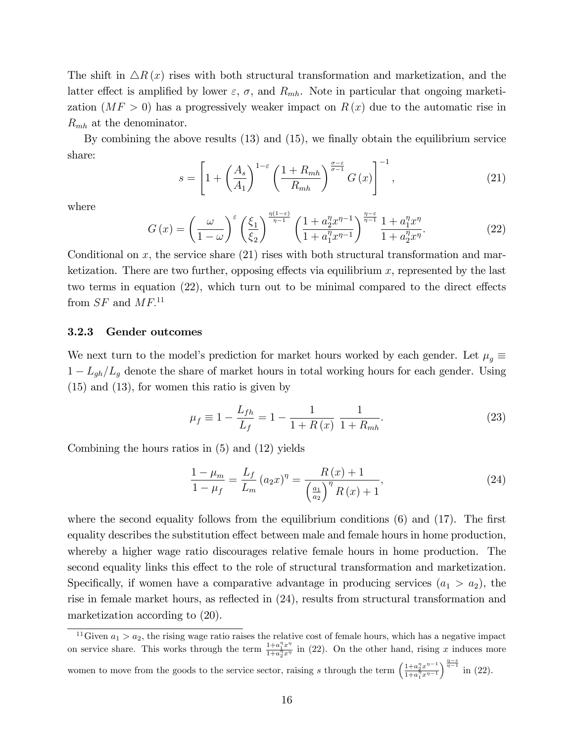The shift in  $\Delta R(x)$  rises with both structural transformation and marketization, and the latter effect is amplified by lower  $\varepsilon$ ,  $\sigma$ , and  $R_{mh}$ . Note in particular that ongoing marketization  $(MF > 0)$  has a progressively weaker impact on  $R(x)$  due to the automatic rise in  $R_{mh}$  at the denominator.

By combining the above results  $(13)$  and  $(15)$ , we finally obtain the equilibrium service share:

$$
s = \left[1 + \left(\frac{A_s}{A_1}\right)^{1-\varepsilon} \left(\frac{1 + R_{mh}}{R_{mh}}\right)^{\frac{\sigma - \varepsilon}{\sigma - 1}} G\left(x\right)\right]^{-1},\tag{21}
$$

where

$$
G\left(x\right) = \left(\frac{\omega}{1-\omega}\right)^{\varepsilon} \left(\frac{\xi_1}{\xi_2}\right)^{\frac{\eta(1-\varepsilon)}{\eta-1}} \left(\frac{1+a_2^{\eta}x^{\eta-1}}{1+a_1^{\eta}x^{\eta-1}}\right)^{\frac{\eta-\varepsilon}{\eta-1}} \frac{1+a_1^{\eta}x^{\eta}}{1+a_2^{\eta}x^{\eta}}.\tag{22}
$$

Conditional on x, the service share  $(21)$  rises with both structural transformation and marketization. There are two further, opposing effects via equilibrium  $x$ , represented by the last two terms in equation  $(22)$ , which turn out to be minimal compared to the direct effects from  $SF$  and  $MF$ <sup>11</sup>

#### 3.2.3 Gender outcomes

We next turn to the model's prediction for market hours worked by each gender. Let  $\mu_g \equiv$  $1 - L_{gh}/L_g$  denote the share of market hours in total working hours for each gender. Using (15) and (13), for women this ratio is given by

$$
\mu_f \equiv 1 - \frac{L_{fh}}{L_f} = 1 - \frac{1}{1 + R(x)} \frac{1}{1 + R_{mh}}.\tag{23}
$$

Combining the hours ratios in (5) and (12) yields

$$
\frac{1 - \mu_m}{1 - \mu_f} = \frac{L_f}{L_m} (a_2 x)^{\eta} = \frac{R(x) + 1}{\left(\frac{a_1}{a_2}\right)^{\eta} R(x) + 1},\tag{24}
$$

where the second equality follows from the equilibrium conditions  $(6)$  and  $(17)$ . The first equality describes the substitution effect between male and female hours in home production, whereby a higher wage ratio discourages relative female hours in home production. The second equality links this effect to the role of structural transformation and marketization. Specifically, if women have a comparative advantage in producing services  $(a_1 > a_2)$ , the rise in female market hours, as reflected in  $(24)$ , results from structural transformation and marketization according to (20).

<sup>11</sup>Given  $a_1 > a_2$ , the rising wage ratio raises the relative cost of female hours, which has a negative impact on service share. This works through the term  $\frac{1+a_1^nx^n}{1+a_1^nx^n}$  $\frac{1+a_1^2x^2}{1+a_2^2x^n}$  in (22). On the other hand, rising x induces more

women to move from the goods to the service sector, raising s through the term  $\left(\frac{1+a_2^nx^{n-1}}{1+a_2^nx^{n-1}}\right)$  $\frac{1+a_1^{\overline{\eta}}x^{\eta-1}}{1+a_1^{\overline{\eta}}x^{\eta-1}}$  $\int_{0}^{\frac{\eta-\epsilon}{\eta-1}}$  in (22).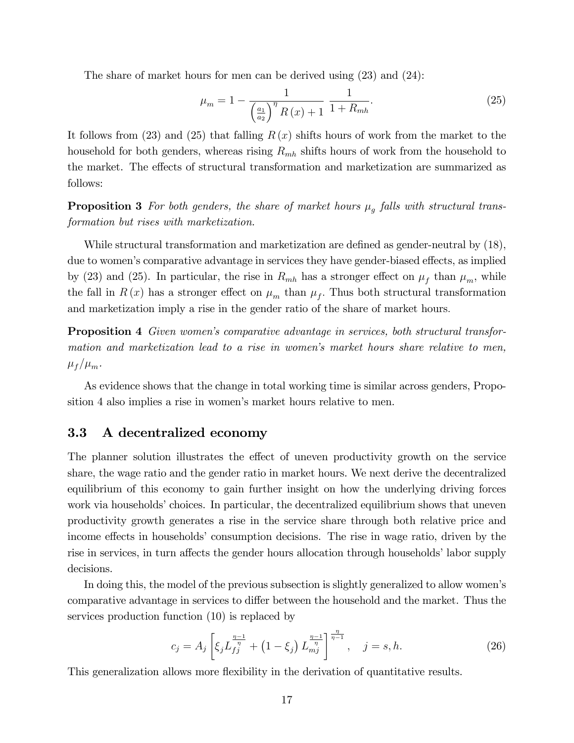The share of market hours for men can be derived using (23) and (24):

$$
\mu_m = 1 - \frac{1}{\left(\frac{a_1}{a_2}\right)^{\eta} R(x) + 1} \frac{1}{1 + R_{mh}}.
$$
\n(25)

It follows from (23) and (25) that falling  $R(x)$  shifts hours of work from the market to the household for both genders, whereas rising  $R_{mh}$  shifts hours of work from the household to the market. The effects of structural transformation and marketization are summarized as follows:

**Proposition 3** For both genders, the share of market hours  $\mu_g$  falls with structural transformation but rises with marketization.

While structural transformation and marketization are defined as gender-neutral by  $(18)$ , due to women's comparative advantage in services they have gender-biased effects, as implied by (23) and (25). In particular, the rise in  $R_{mh}$  has a stronger effect on  $\mu_f$  than  $\mu_m$ , while the fall in  $R(x)$  has a stronger effect on  $\mu_m$  than  $\mu_f$ . Thus both structural transformation and marketization imply a rise in the gender ratio of the share of market hours:

Proposition 4 Given womenís comparative advantage in services, both structural transformation and marketization lead to a rise in women's market hours share relative to men,  $\mu_f / \mu_m$ .

As evidence shows that the change in total working time is similar across genders, Proposition 4 also implies a rise in women's market hours relative to men.

#### 3.3 A decentralized economy

The planner solution illustrates the effect of uneven productivity growth on the service share, the wage ratio and the gender ratio in market hours. We next derive the decentralized equilibrium of this economy to gain further insight on how the underlying driving forces work via households' choices. In particular, the decentralized equilibrium shows that uneven productivity growth generates a rise in the service share through both relative price and income effects in households' consumption decisions. The rise in wage ratio, driven by the rise in services, in turn affects the gender hours allocation through households' labor supply decisions.

In doing this, the model of the previous subsection is slightly generalized to allow women's comparative advantage in services to differ between the household and the market. Thus the services production function (10) is replaced by

$$
c_j = A_j \left[ \xi_j L_{fj}^{\frac{\eta - 1}{\eta}} + \left( 1 - \xi_j \right) L_{mj}^{\frac{\eta - 1}{\eta}} \right]^{\frac{\eta}{\eta - 1}}, \quad j = s, h. \tag{26}
$$

This generalization allows more flexibility in the derivation of quantitative results.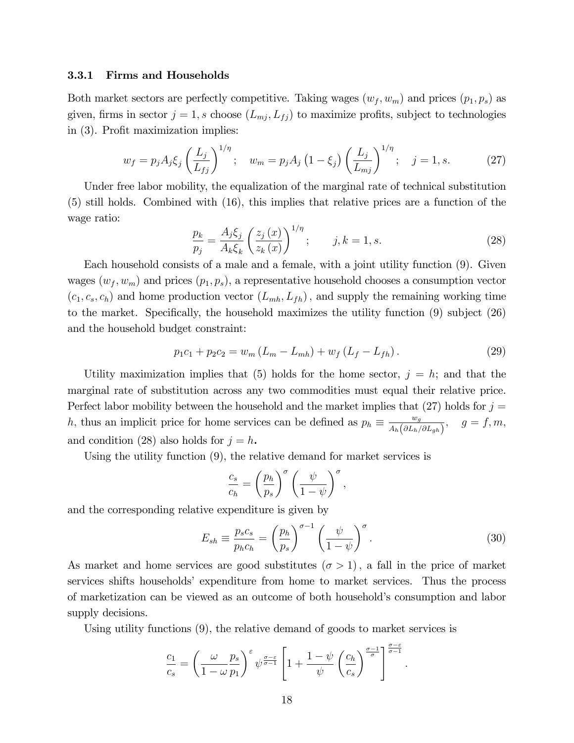#### 3.3.1 Firms and Households

Both market sectors are perfectly competitive. Taking wages  $(w_f, w_m)$  and prices  $(p_1, p_s)$  as given, firms in sector  $j = 1$ , s choose  $(L_{mj}, L_{fj})$  to maximize profits, subject to technologies in  $(3)$ . Profit maximization implies:

$$
w_f = p_j A_j \xi_j \left(\frac{L_j}{L_{fj}}\right)^{1/\eta}; \quad w_m = p_j A_j \left(1 - \xi_j\right) \left(\frac{L_j}{L_{mj}}\right)^{1/\eta}; \quad j = 1, s. \tag{27}
$$

Under free labor mobility, the equalization of the marginal rate of technical substitution (5) still holds. Combined with (16), this implies that relative prices are a function of the wage ratio:

$$
\frac{p_k}{p_j} = \frac{A_j \xi_j}{A_k \xi_k} \left(\frac{z_j(x)}{z_k(x)}\right)^{1/\eta}; \qquad j, k = 1, s. \tag{28}
$$

Each household consists of a male and a female, with a joint utility function (9). Given wages  $(w_f, w_m)$  and prices  $(p_1, p_s)$ , a representative household chooses a consumption vector  $(c_1, c_s, c_h)$  and home production vector  $(L_{mh}, L_{fh})$ , and supply the remaining working time to the market. Specifically, the household maximizes the utility function  $(9)$  subject  $(26)$ and the household budget constraint:

$$
p_1c_1 + p_2c_2 = w_m(L_m - L_{mh}) + w_f(L_f - L_{fh}).
$$
\n(29)

Utility maximization implies that (5) holds for the home sector,  $j = h$ ; and that the marginal rate of substitution across any two commodities must equal their relative price. Perfect labor mobility between the household and the market implies that  $(27)$  holds for  $j =$ h, thus an implicit price for home services can be defined as  $p_h \equiv \frac{w_g}{A_h(\partial L_h)}$  $\frac{w_g}{A_h\big(\partial L_h/\partial L_{gh}\big)}, \quad g = f, m,$ and condition (28) also holds for  $j = h$ .

Using the utility function (9), the relative demand for market services is

$$
\frac{c_s}{c_h} = \left(\frac{p_h}{p_s}\right)^\sigma \left(\frac{\psi}{1-\psi}\right)^\sigma,
$$

and the corresponding relative expenditure is given by

$$
E_{sh} \equiv \frac{p_s c_s}{p_h c_h} = \left(\frac{p_h}{p_s}\right)^{\sigma - 1} \left(\frac{\psi}{1 - \psi}\right)^{\sigma}.
$$
\n(30)

As market and home services are good substitutes  $(\sigma > 1)$ , a fall in the price of market services shifts householdsí expenditure from home to market services. Thus the process of marketization can be viewed as an outcome of both household's consumption and labor supply decisions.

Using utility functions (9), the relative demand of goods to market services is

$$
\frac{c_1}{c_s} = \left(\frac{\omega}{1-\omega}\frac{p_s}{p_1}\right)^{\varepsilon} \psi^{\frac{\sigma-\varepsilon}{\sigma-1}} \left[1 + \frac{1-\psi}{\psi}\left(\frac{c_h}{c_s}\right)^{\frac{\sigma-1}{\sigma}}\right]^{\frac{\sigma-\varepsilon}{\sigma-1}}.
$$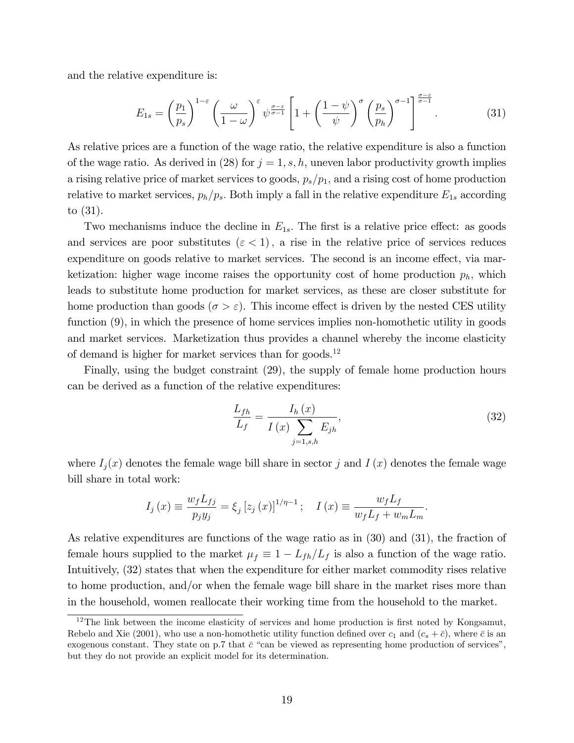and the relative expenditure is:

$$
E_{1s} = \left(\frac{p_1}{p_s}\right)^{1-\varepsilon} \left(\frac{\omega}{1-\omega}\right)^{\varepsilon} \psi^{\frac{\sigma-\varepsilon}{\sigma-1}} \left[1+\left(\frac{1-\psi}{\psi}\right)^{\sigma} \left(\frac{p_s}{p_h}\right)^{\sigma-1}\right]^{\frac{\sigma-\varepsilon}{\sigma-1}}.\tag{31}
$$

As relative prices are a function of the wage ratio, the relative expenditure is also a function of the wage ratio. As derived in (28) for  $j = 1, s, h$ , uneven labor productivity growth implies a rising relative price of market services to goods,  $p_s/p_1$ , and a rising cost of home production relative to market services,  $p_h/p_s$ . Both imply a fall in the relative expenditure  $E_{1s}$  according to (31).

Two mechanisms induce the decline in  $E_{1s}$ . The first is a relative price effect: as goods and services are poor substitutes  $({\varepsilon} < 1)$ , a rise in the relative price of services reduces expenditure on goods relative to market services. The second is an income effect, via marketization: higher wage income raises the opportunity cost of home production  $p_h$ , which leads to substitute home production for market services, as these are closer substitute for home production than goods ( $\sigma > \varepsilon$ ). This income effect is driven by the nested CES utility function (9), in which the presence of home services implies non-homothetic utility in goods and market services. Marketization thus provides a channel whereby the income elasticity of demand is higher for market services than for goods.<sup>12</sup>

Finally, using the budget constraint (29), the supply of female home production hours can be derived as a function of the relative expenditures:

$$
\frac{L_{fh}}{L_f} = \frac{I_h(x)}{I(x) \sum_{j=1, s, h} E_{jh}},
$$
\n(32)

where  $I_j(x)$  denotes the female wage bill share in sector j and  $I(x)$  denotes the female wage bill share in total work:

$$
I_j(x) \equiv \frac{w_f L_{fj}}{p_j y_j} = \xi_j [z_j(x)]^{1/\eta - 1}; \quad I(x) \equiv \frac{w_f L_f}{w_f L_f + w_m L_m}.
$$

As relative expenditures are functions of the wage ratio as in (30) and (31), the fraction of female hours supplied to the market  $\mu_f \equiv 1 - L_{fh}/L_f$  is also a function of the wage ratio. Intuitively, (32) states that when the expenditure for either market commodity rises relative to home production, and/or when the female wage bill share in the market rises more than in the household, women reallocate their working time from the household to the market.

 $12$ The link between the income elasticity of services and home production is first noted by Kongsamut, Rebelo and Xie (2001), who use a non-homothetic utility function defined over  $c_1$  and  $(c_s + \bar{c})$ , where  $\bar{c}$  is an exogenous constant. They state on p.7 that  $\bar{c}$  "can be viewed as representing home production of services", but they do not provide an explicit model for its determination.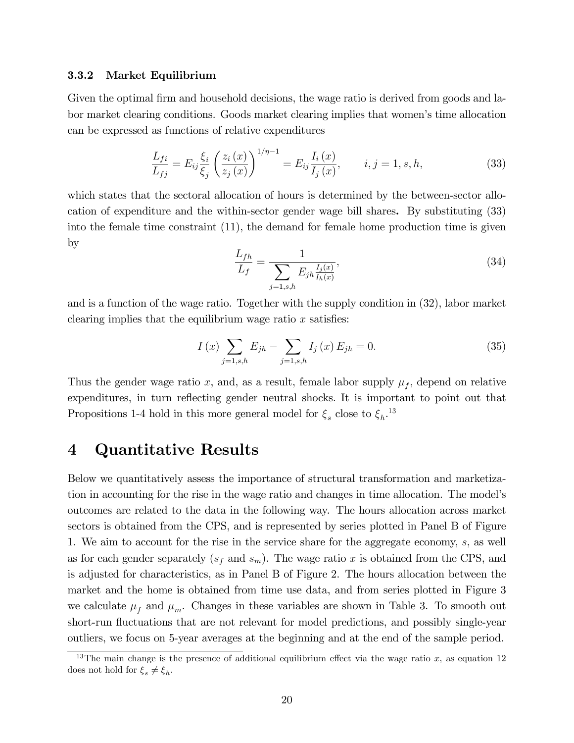#### 3.3.2 Market Equilibrium

Given the optimal firm and household decisions, the wage ratio is derived from goods and labor market clearing conditions. Goods market clearing implies that womenís time allocation can be expressed as functions of relative expenditures

$$
\frac{L_{fi}}{L_{fj}} = E_{ij} \frac{\xi_i}{\xi_j} \left( \frac{z_i(x)}{z_j(x)} \right)^{1/\eta - 1} = E_{ij} \frac{I_i(x)}{I_j(x)}, \qquad i, j = 1, s, h,
$$
\n(33)

which states that the sectoral allocation of hours is determined by the between-sector allocation of expenditure and the within-sector gender wage bill shares. By substituting (33) into the female time constraint (11), the demand for female home production time is given by

$$
\frac{L_{fh}}{L_f} = \frac{1}{\sum_{j=1, s, h} E_{jh} \frac{I_j(x)}{I_h(x)}},\tag{34}
$$

and is a function of the wage ratio. Together with the supply condition in (32), labor market clearing implies that the equilibrium wage ratio  $x$  satisfies:

$$
I(x) \sum_{j=1, s,h} E_{jh} - \sum_{j=1, s,h} I_j(x) E_{jh} = 0.
$$
 (35)

Thus the gender wage ratio x, and, as a result, female labor supply  $\mu_f$ , depend on relative expenditures, in turn reflecting gender neutral shocks. It is important to point out that Propositions 1-4 hold in this more general model for  $\xi_s$  close to  $\xi_h$ <sup>13</sup>

## 4 Quantitative Results

Below we quantitatively assess the importance of structural transformation and marketization in accounting for the rise in the wage ratio and changes in time allocation. The modelís outcomes are related to the data in the following way. The hours allocation across market sectors is obtained from the CPS, and is represented by series plotted in Panel B of Figure 1. We aim to account for the rise in the service share for the aggregate economy, s, as well as for each gender separately  $(s_f \text{ and } s_m)$ . The wage ratio x is obtained from the CPS, and is adjusted for characteristics, as in Panel B of Figure 2. The hours allocation between the market and the home is obtained from time use data, and from series plotted in Figure 3 we calculate  $\mu_f$  and  $\mu_m$ . Changes in these variables are shown in Table 3. To smooth out short-run fluctuations that are not relevant for model predictions, and possibly single-year outliers, we focus on 5-year averages at the beginning and at the end of the sample period.

<sup>&</sup>lt;sup>13</sup>The main change is the presence of additional equilibrium effect via the wage ratio x, as equation 12 does not hold for  $\xi_s \neq \xi_h$ .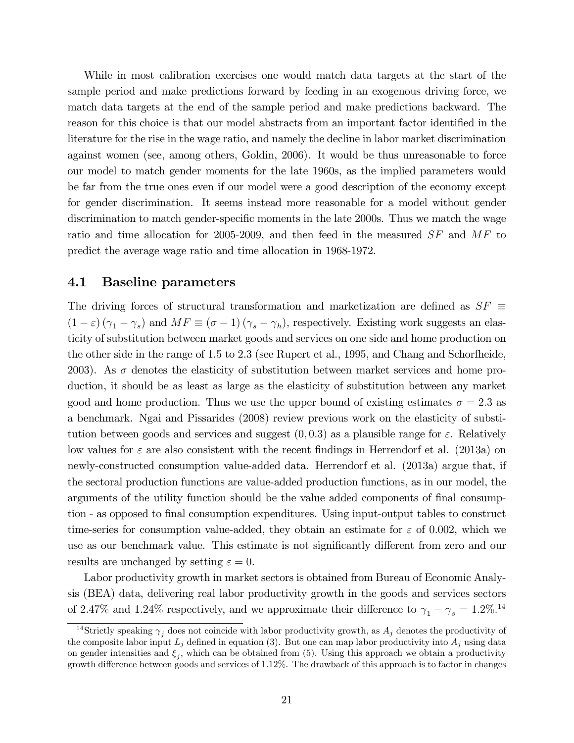While in most calibration exercises one would match data targets at the start of the sample period and make predictions forward by feeding in an exogenous driving force, we match data targets at the end of the sample period and make predictions backward. The reason for this choice is that our model abstracts from an important factor identified in the literature for the rise in the wage ratio, and namely the decline in labor market discrimination against women (see, among others, Goldin, 2006). It would be thus unreasonable to force our model to match gender moments for the late 1960s, as the implied parameters would be far from the true ones even if our model were a good description of the economy except for gender discrimination. It seems instead more reasonable for a model without gender discrimination to match gender-specific moments in the late 2000s. Thus we match the wage ratio and time allocation for 2005-2009, and then feed in the measured SF and MF to predict the average wage ratio and time allocation in 1968-1972.

#### 4.1 Baseline parameters

The driving forces of structural transformation and marketization are defined as  $SF \equiv$  $(1 - \varepsilon) (\gamma_1 - \gamma_s)$  and  $MF \equiv (\sigma - 1) (\gamma_s - \gamma_h)$ , respectively. Existing work suggests an elasticity of substitution between market goods and services on one side and home production on the other side in the range of 1.5 to 2.3 (see Rupert et al., 1995, and Chang and Schorfheide, 2003). As  $\sigma$  denotes the elasticity of substitution between market services and home production, it should be as least as large as the elasticity of substitution between any market good and home production. Thus we use the upper bound of existing estimates  $\sigma = 2.3$  as a benchmark. Ngai and Pissarides (2008) review previous work on the elasticity of substitution between goods and services and suggest  $(0, 0.3)$  as a plausible range for  $\varepsilon$ . Relatively low values for  $\varepsilon$  are also consistent with the recent findings in Herrendorf et al. (2013a) on newly-constructed consumption value-added data. Herrendorf et al. (2013a) argue that, if the sectoral production functions are value-added production functions, as in our model, the arguments of the utility function should be the value added components of final consumption - as opposed to Önal consumption expenditures. Using input-output tables to construct time-series for consumption value-added, they obtain an estimate for  $\varepsilon$  of 0.002, which we use as our benchmark value. This estimate is not significantly different from zero and our results are unchanged by setting  $\varepsilon = 0$ .

Labor productivity growth in market sectors is obtained from Bureau of Economic Analysis (BEA) data, delivering real labor productivity growth in the goods and services sectors of 2.47% and 1.24% respectively, and we approximate their difference to  $\gamma_1 - \gamma_s = 1.2\%$ .<sup>14</sup>

<sup>&</sup>lt;sup>14</sup>Strictly speaking  $\gamma_i$  does not coincide with labor productivity growth, as  $A_j$  denotes the productivity of the composite labor input  $L_j$  defined in equation (3). But one can map labor productivity into  $A_j$  using data on gender intensities and  $\xi_j$ , which can be obtained from (5). Using this approach we obtain a productivity growth difference between goods and services of 1.12%. The drawback of this approach is to factor in changes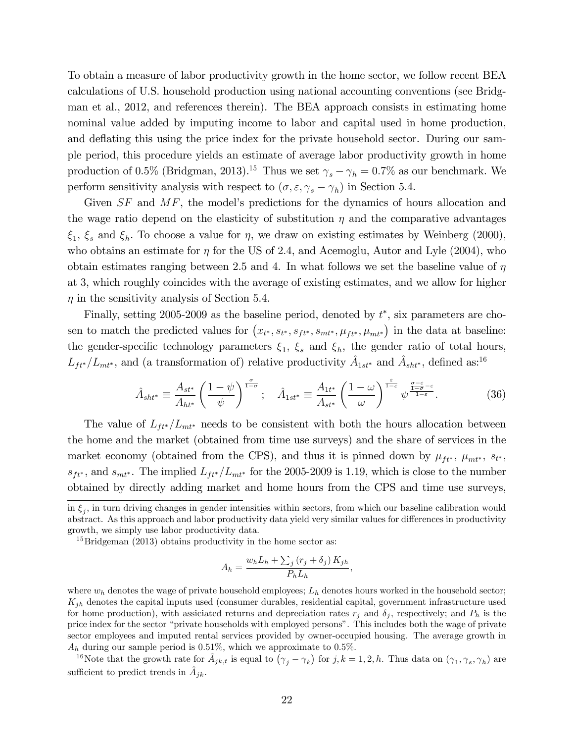To obtain a measure of labor productivity growth in the home sector, we follow recent BEA calculations of U.S. household production using national accounting conventions (see Bridgman et al., 2012, and references therein). The BEA approach consists in estimating home nominal value added by imputing income to labor and capital used in home production, and deflating this using the price index for the private household sector. During our sample period, this procedure yields an estimate of average labor productivity growth in home production of 0.5% (Bridgman, 2013).<sup>15</sup> Thus we set  $\gamma_s - \gamma_h = 0.7\%$  as our benchmark. We perform sensitivity analysis with respect to  $(\sigma, \varepsilon, \gamma_s - \gamma_h)$  in Section 5.4.

Given  $SF$  and  $MF$ , the model's predictions for the dynamics of hours allocation and the wage ratio depend on the elasticity of substitution  $\eta$  and the comparative advantages  $\xi_1, \xi_s$  and  $\xi_h$ . To choose a value for  $\eta$ , we draw on existing estimates by Weinberg (2000), who obtains an estimate for  $\eta$  for the US of 2.4, and Acemoglu, Autor and Lyle (2004), who obtain estimates ranging between 2.5 and 4. In what follows we set the baseline value of  $\eta$ at 3, which roughly coincides with the average of existing estimates, and we allow for higher  $\eta$  in the sensitivity analysis of Section 5.4.

Finally, setting 2005-2009 as the baseline period, denoted by  $t^*$ , six parameters are chosen to match the predicted values for  $(x_{t^*}, s_{t^*}, s_{ft^*}, s_{mt^*}, \mu_{ft^*}, \mu_{mt^*})$  in the data at baseline: the gender-specific technology parameters  $\xi_1$ ,  $\xi_s$  and  $\xi_h$ , the gender ratio of total hours,  $L_{ft^*}/L_{mt^*}$ , and (a transformation of) relative productivity  $\hat{A}_{1st^*}$  and  $\hat{A}_{sht^*}$ , defined as:<sup>16</sup>

$$
\hat{A}_{sht^*} \equiv \frac{A_{st^*}}{A_{ht^*}} \left(\frac{1-\psi}{\psi}\right)^{\frac{\sigma}{1-\sigma}}; \quad \hat{A}_{1st^*} \equiv \frac{A_{1t^*}}{A_{st^*}} \left(\frac{1-\omega}{\omega}\right)^{\frac{\varepsilon}{1-\varepsilon}} \psi^{\frac{\sigma-\varepsilon}{1-\sigma-\varepsilon}}.
$$
(36)

The value of  $L_{tt}/L_{mt*}$  needs to be consistent with both the hours allocation between the home and the market (obtained from time use surveys) and the share of services in the market economy (obtained from the CPS), and thus it is pinned down by  $\mu_{ft^*}$ ,  $\mu_{mt^*}$ ,  $s_{t^*}$ ,  $s_{ft*}$ , and  $s_{mt*}$ . The implied  $L_{ft*}/L_{mt*}$  for the 2005-2009 is 1.19, which is close to the number obtained by directly adding market and home hours from the CPS and time use surveys,

$$
A_h = \frac{w_h L_h + \sum_j (r_j + \delta_j) K_{jh}}{P_h L_h},
$$

where  $w_h$  denotes the wage of private household employees;  $L_h$  denotes hours worked in the household sector;  $K_{jh}$  denotes the capital inputs used (consumer durables, residential capital, government infrastructure used for home production), with assiciated returns and depreciation rates  $r_j$  and  $\delta_j$ , respectively; and  $P_h$  is the price index for the sector "private households with employed persons". This includes both the wage of private sector employees and imputed rental services provided by owner-occupied housing. The average growth in  $A_h$  during our sample period is 0.51%, which we approximate to 0.5%.

<sup>16</sup>Note that the growth rate for  $\hat{A}_{jk,t}$  is equal to  $(\gamma_j - \gamma_k)$  for  $j, k = 1, 2, h$ . Thus data on  $(\gamma_1, \gamma_s, \gamma_h)$  are sufficient to predict trends in  $\hat{A}_{jk}$ .

in  $\xi_j$ , in turn driving changes in gender intensities within sectors, from which our baseline calibration would abstract. As this approach and labor productivity data yield very similar values for differences in productivity growth, we simply use labor productivity data.

 $15$ Bridgeman (2013) obtains productivity in the home sector as: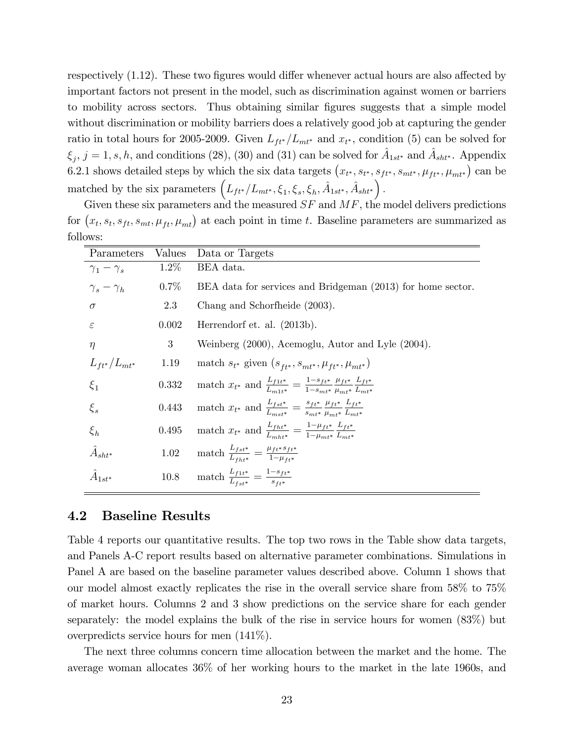respectively  $(1.12)$ . These two figures would differ whenever actual hours are also affected by important factors not present in the model, such as discrimination against women or barriers to mobility across sectors. Thus obtaining similar Ögures suggests that a simple model without discrimination or mobility barriers does a relatively good job at capturing the gender ratio in total hours for 2005-2009. Given  $L_{ft^*}/L_{mt^*}$  and  $x_{t^*}$ , condition (5) can be solved for  $\xi_j$ ,  $j = 1, s, h$ , and conditions (28), (30) and (31) can be solved for  $\hat{A}_{1st*}$  and  $\hat{A}_{sht*}$ . Appendix 6.2.1 shows detailed steps by which the six data targets  $(x_{t^*}, s_{t^*}, s_{ft^*}, s_{mt^*}, \mu_{ft^*}, \mu_{mt^*})$  can be matched by the six parameters  $(L_{ft^*}/L_{mt^*}, \xi_1, \xi_s, \xi_h, \hat{A}_{1st^*}, \hat{A}_{sht^*})$ .

Given these six parameters and the measured  $SF$  and  $MF$ , the model delivers predictions for  $(x_t, s_t, s_{ft}, s_{mt}, \mu_{ft}, \mu_{mt})$  at each point in time t. Baseline parameters are summarized as follows:

| Parameters            | Values         | Data or Targets                                                                                                                                                      |
|-----------------------|----------------|----------------------------------------------------------------------------------------------------------------------------------------------------------------------|
| $\gamma_1-\gamma_s$   | $1.2\%$        | BEA data.                                                                                                                                                            |
| $\gamma_s - \gamma_h$ | $0.7\%$        | BEA data for services and Bridgeman (2013) for home sector.                                                                                                          |
| $\sigma$              | 2.3            | Chang and Schorfheide (2003).                                                                                                                                        |
| $\varepsilon$         | 0.002          | Herrendorf et. al. (2013b).                                                                                                                                          |
| $\eta$                | 3 <sup>1</sup> | Weinberg (2000), Acemoglu, Autor and Lyle (2004).                                                                                                                    |
| $L_{ft*}/L_{mt*}$     | 1.19           | match $s_{t^*}$ given $(s_{ft^*}, s_{mt^*}, \mu_{ft^*}, \mu_{mt^*})$                                                                                                 |
| $\xi_1$               | 0.332          | match $x_{t^*}$ and $\frac{L_{f1t^*}}{L_{t1} \cdot k} = \frac{1 - s_{f1^*}}{1 - s_{t1} \cdot k} \frac{\mu_{f1^*}}{\mu_{t1} \cdot k} \frac{L_{f1^*}}{L_{t1} \cdot k}$ |
| $\xi_s$               | 0.443          | match $x_{t^*}$ and $\frac{L_{fst^*}}{L_{mst^*}} = \frac{s_{ft^*}}{s_{mt^*}} \frac{\mu_{ft^*}}{\mu_{m^*}} \frac{L_{ft^*}}{L_{mt^*}}$                                 |
| $\xi_h$               | $0.495\,$      | match $x_{t^*}$ and $\frac{L_{fht^*}}{L_{mht^*}} = \frac{1-\mu_{ft^*}}{1-\mu_{h\to t}} \frac{L_{ft^*}}{L_{h\to t}}$                                                  |
| $\hat{A}_{sht*}$      |                | 1.02 match $\frac{L_{fst^*}}{L_{fbt^*}} = \frac{\mu_{ft^*} s_{ft^*}}{1 - \mu_{ft^*}}$                                                                                |
| $\hat{A}_{1st*}$      |                | 10.8 match $\frac{L_{f1t^*}}{L_{f1t^{**}}} = \frac{1 - s_{ft^*}}{s_{f1t}}$                                                                                           |

#### 4.2 Baseline Results

Table 4 reports our quantitative results. The top two rows in the Table show data targets, and Panels A-C report results based on alternative parameter combinations. Simulations in Panel A are based on the baseline parameter values described above. Column 1 shows that our model almost exactly replicates the rise in the overall service share from 58% to 75% of market hours. Columns 2 and 3 show predictions on the service share for each gender separately: the model explains the bulk of the rise in service hours for women (83%) but overpredicts service hours for men (141%).

The next three columns concern time allocation between the market and the home. The average woman allocates 36% of her working hours to the market in the late 1960s, and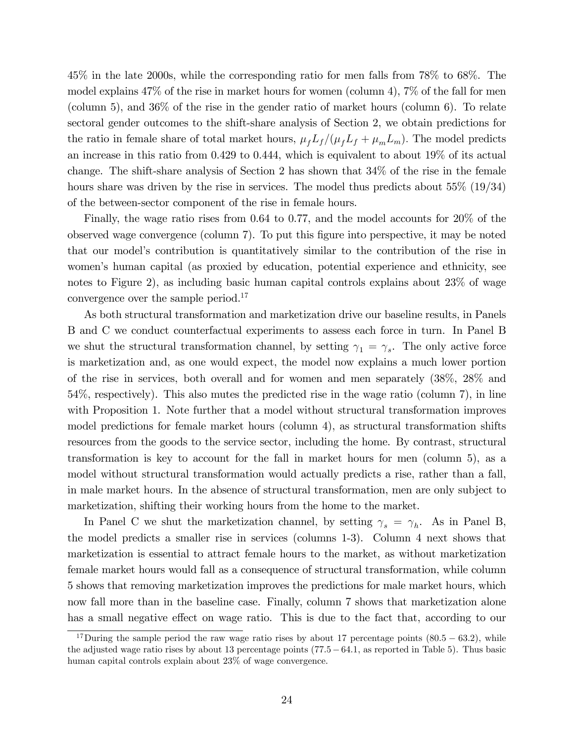45% in the late 2000s, while the corresponding ratio for men falls from 78% to 68%. The model explains 47% of the rise in market hours for women (column 4), 7% of the fall for men (column 5), and 36% of the rise in the gender ratio of market hours (column 6). To relate sectoral gender outcomes to the shift-share analysis of Section 2, we obtain predictions for the ratio in female share of total market hours,  $\mu_f L_f /(\mu_f L_f + \mu_m L_m)$ . The model predicts an increase in this ratio from 0.429 to 0.444, which is equivalent to about 19% of its actual change. The shift-share analysis of Section 2 has shown that 34% of the rise in the female hours share was driven by the rise in services. The model thus predicts about 55\% (19\, 34\) of the between-sector component of the rise in female hours.

Finally, the wage ratio rises from 0.64 to 0.77, and the model accounts for 20% of the observed wage convergence (column 7). To put this Ögure into perspective, it may be noted that our modelís contribution is quantitatively similar to the contribution of the rise in women's human capital (as proxied by education, potential experience and ethnicity, see notes to Figure 2), as including basic human capital controls explains about 23% of wage convergence over the sample period.<sup>17</sup>

As both structural transformation and marketization drive our baseline results, in Panels B and C we conduct counterfactual experiments to assess each force in turn. In Panel B we shut the structural transformation channel, by setting  $\gamma_1 = \gamma_s$ . The only active force is marketization and, as one would expect, the model now explains a much lower portion of the rise in services, both overall and for women and men separately (38%, 28% and 54%, respectively). This also mutes the predicted rise in the wage ratio (column 7), in line with Proposition 1. Note further that a model without structural transformation improves model predictions for female market hours (column 4), as structural transformation shifts resources from the goods to the service sector, including the home. By contrast, structural transformation is key to account for the fall in market hours for men (column 5), as a model without structural transformation would actually predicts a rise, rather than a fall, in male market hours. In the absence of structural transformation, men are only subject to marketization, shifting their working hours from the home to the market.

In Panel C we shut the marketization channel, by setting  $\gamma_s = \gamma_h$ . As in Panel B, the model predicts a smaller rise in services (columns 1-3). Column 4 next shows that marketization is essential to attract female hours to the market, as without marketization female market hours would fall as a consequence of structural transformation, while column 5 shows that removing marketization improves the predictions for male market hours, which now fall more than in the baseline case. Finally, column 7 shows that marketization alone has a small negative effect on wage ratio. This is due to the fact that, according to our

<sup>&</sup>lt;sup>17</sup>During the sample period the raw wage ratio rises by about 17 percentage points  $(80.5 - 63.2)$ , while the adjusted wage ratio rises by about 13 percentage points  $(77.5-64.1,$  as reported in Table 5). Thus basic human capital controls explain about 23% of wage convergence.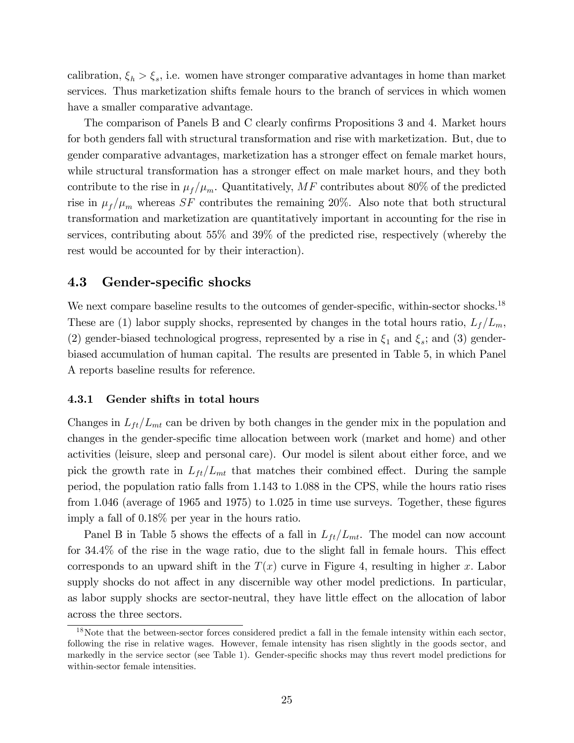calibration,  $\xi_h > \xi_s$ , i.e. women have stronger comparative advantages in home than market services. Thus marketization shifts female hours to the branch of services in which women have a smaller comparative advantage.

The comparison of Panels B and C clearly confirms Propositions 3 and 4. Market hours for both genders fall with structural transformation and rise with marketization. But, due to gender comparative advantages, marketization has a stronger effect on female market hours, while structural transformation has a stronger effect on male market hours, and they both contribute to the rise in  $\mu_f / \mu_m$ . Quantitatively, MF contributes about 80% of the predicted rise in  $\mu_f / \mu_m$  whereas SF contributes the remaining 20%. Also note that both structural transformation and marketization are quantitatively important in accounting for the rise in services, contributing about 55% and 39% of the predicted rise, respectively (whereby the rest would be accounted for by their interaction).

#### 4.3 Gender-specific shocks

We next compare baseline results to the outcomes of gender-specific, within-sector shocks.<sup>18</sup> These are (1) labor supply shocks, represented by changes in the total hours ratio,  $L_f/L_m$ , (2) gender-biased technological progress, represented by a rise in  $\xi_1$  and  $\xi_s$ ; and (3) genderbiased accumulation of human capital. The results are presented in Table 5, in which Panel A reports baseline results for reference.

#### 4.3.1 Gender shifts in total hours

Changes in  $L_{ft}/L_{mt}$  can be driven by both changes in the gender mix in the population and changes in the gender-specific time allocation between work (market and home) and other activities (leisure, sleep and personal care). Our model is silent about either force, and we pick the growth rate in  $L_{ft}/L_{mt}$  that matches their combined effect. During the sample period, the population ratio falls from 1.143 to 1.088 in the CPS, while the hours ratio rises from 1.046 (average of 1965 and 1975) to 1.025 in time use surveys. Together, these figures imply a fall of 0.18% per year in the hours ratio.

Panel B in Table 5 shows the effects of a fall in  $L_{ft}/L_{mt}$ . The model can now account for  $34.4\%$  of the rise in the wage ratio, due to the slight fall in female hours. This effect corresponds to an upward shift in the  $T(x)$  curve in Figure 4, resulting in higher x. Labor supply shocks do not affect in any discernible way other model predictions. In particular, as labor supply shocks are sector-neutral, they have little effect on the allocation of labor across the three sectors.

 $18$ Note that the between-sector forces considered predict a fall in the female intensity within each sector, following the rise in relative wages. However, female intensity has risen slightly in the goods sector, and markedly in the service sector (see Table 1). Gender-specific shocks may thus revert model predictions for within-sector female intensities.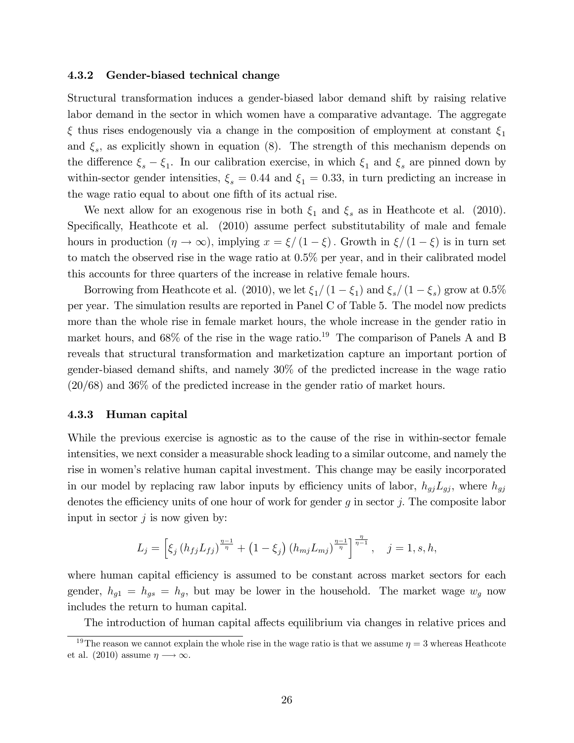#### 4.3.2 Gender-biased technical change

Structural transformation induces a gender-biased labor demand shift by raising relative labor demand in the sector in which women have a comparative advantage. The aggregate  $\xi$  thus rises endogenously via a change in the composition of employment at constant  $\xi_1$ and  $\xi_s$ , as explicitly shown in equation (8). The strength of this mechanism depends on the difference  $\xi_s - \xi_1$ . In our calibration exercise, in which  $\xi_1$  and  $\xi_s$  are pinned down by within-sector gender intensities,  $\xi_s = 0.44$  and  $\xi_1 = 0.33$ , in turn predicting an increase in the wage ratio equal to about one fifth of its actual rise.

We next allow for an exogenous rise in both  $\xi_1$  and  $\xi_s$  as in Heathcote et al. (2010). Specifically, Heathcote et al. (2010) assume perfect substitutability of male and female hours in production  $(\eta \to \infty)$ , implying  $x = \xi/(1 - \xi)$ . Growth in  $\xi/(1 - \xi)$  is in turn set to match the observed rise in the wage ratio at 0.5% per year, and in their calibrated model this accounts for three quarters of the increase in relative female hours.

Borrowing from Heathcote et al. (2010), we let  $\xi_1/(1 - \xi_1)$  and  $\xi_s/(1 - \xi_s)$  grow at 0.5% per year. The simulation results are reported in Panel C of Table 5. The model now predicts more than the whole rise in female market hours, the whole increase in the gender ratio in market hours, and  $68\%$  of the rise in the wage ratio.<sup>19</sup> The comparison of Panels A and B reveals that structural transformation and marketization capture an important portion of gender-biased demand shifts, and namely 30% of the predicted increase in the wage ratio (20/68) and 36% of the predicted increase in the gender ratio of market hours.

#### 4.3.3 Human capital

While the previous exercise is agnostic as to the cause of the rise in within-sector female intensities, we next consider a measurable shock leading to a similar outcome, and namely the rise in women's relative human capital investment. This change may be easily incorporated in our model by replacing raw labor inputs by efficiency units of labor,  $h_{gj}L_{gj}$ , where  $h_{gj}$ denotes the efficiency units of one hour of work for gender  $g$  in sector  $j$ . The composite labor input in sector  $j$  is now given by:

$$
L_j = \left[ \xi_j \left( h_{fj} L_{fj} \right)^{\frac{\eta-1}{\eta}} + \left( 1 - \xi_j \right) \left( h_{mj} L_{mj} \right)^{\frac{\eta-1}{\eta}} \right]^{\frac{\eta}{\eta-1}}, \quad j = 1, s, h,
$$

where human capital efficiency is assumed to be constant across market sectors for each gender,  $h_{g1} = h_{gs} = h_g$ , but may be lower in the household. The market wage  $w_g$  now includes the return to human capital.

The introduction of human capital affects equilibrium via changes in relative prices and

<sup>&</sup>lt;sup>19</sup>The reason we cannot explain the whole rise in the wage ratio is that we assume  $\eta = 3$  whereas Heathcote et al. (2010) assume  $\eta \longrightarrow \infty$ .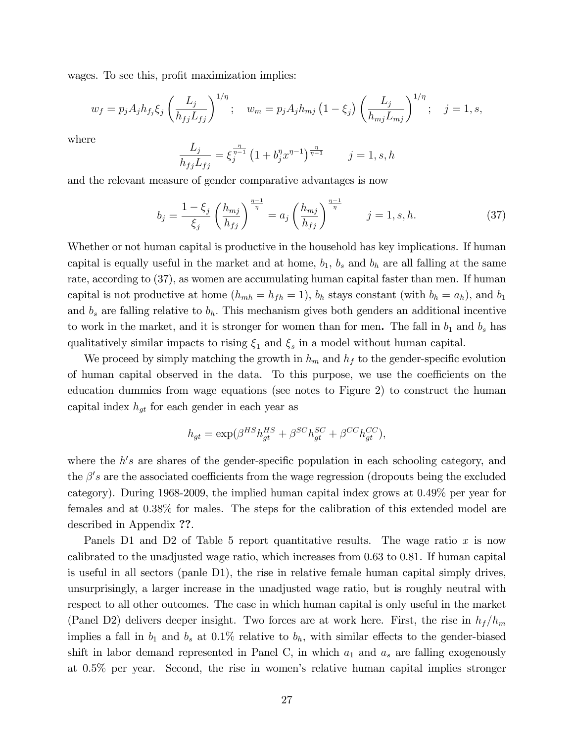wages. To see this, profit maximization implies:

$$
w_f = p_j A_j h_{f_j} \xi_j \left(\frac{L_j}{h_{fj} L_{fj}}\right)^{1/\eta}; \quad w_m = p_j A_j h_{mj} \left(1 - \xi_j\right) \left(\frac{L_j}{h_{mj} L_{mj}}\right)^{1/\eta}; \quad j = 1, s,
$$

where

$$
\frac{L_j}{h_{fj}L_{fj}} = \xi_j^{\frac{\eta}{\eta-1}} \left(1 + b_j^{\eta} x^{\eta-1}\right)^{\frac{\eta}{\eta-1}} \qquad j = 1, s, h
$$

and the relevant measure of gender comparative advantages is now

$$
b_j = \frac{1 - \xi_j}{\xi_j} \left(\frac{h_{mj}}{h_{ff}}\right)^{\frac{\eta - 1}{\eta}} = a_j \left(\frac{h_{mj}}{h_{ff}}\right)^{\frac{\eta - 1}{\eta}} \qquad j = 1, s, h. \tag{37}
$$

Whether or not human capital is productive in the household has key implications. If human capital is equally useful in the market and at home,  $b_1$ ,  $b_s$  and  $b_h$  are all falling at the same rate, according to (37), as women are accumulating human capital faster than men. If human capital is not productive at home  $(h_{mh} = h_{fh} = 1)$ ,  $b_h$  stays constant (with  $b_h = a_h$ ), and  $b_1$ and  $b_s$  are falling relative to  $b_h$ . This mechanism gives both genders an additional incentive to work in the market, and it is stronger for women than for men. The fall in  $b_1$  and  $b_s$  has qualitatively similar impacts to rising  $\xi_1$  and  $\xi_s$  in a model without human capital.

We proceed by simply matching the growth in  $h_m$  and  $h_f$  to the gender-specific evolution of human capital observed in the data. To this purpose, we use the coefficients on the education dummies from wage equations (see notes to Figure 2) to construct the human capital index  $h_{qt}$  for each gender in each year as

$$
h_{gt} = \exp(\beta^{HS} h_{gt}^{HS} + \beta^{SC} h_{gt}^{SC} + \beta^{CC} h_{gt}^{CC}),
$$

where the  $h's$  are shares of the gender-specific population in each schooling category, and the  $\beta's$  are the associated coefficients from the wage regression (dropouts being the excluded category). During 1968-2009, the implied human capital index grows at 0:49% per year for females and at 0:38% for males. The steps for the calibration of this extended model are described in Appendix ??.

Panels D1 and D2 of Table 5 report quantitative results. The wage ratio  $x$  is now calibrated to the unadjusted wage ratio, which increases from 0.63 to 0.81. If human capital is useful in all sectors (panle D1), the rise in relative female human capital simply drives, unsurprisingly, a larger increase in the unadjusted wage ratio, but is roughly neutral with respect to all other outcomes. The case in which human capital is only useful in the market (Panel D2) delivers deeper insight. Two forces are at work here. First, the rise in  $h_f/h_m$ implies a fall in  $b_1$  and  $b_s$  at 0.1% relative to  $b_h$ , with similar effects to the gender-biased shift in labor demand represented in Panel C, in which  $a_1$  and  $a_s$  are falling exogenously at 0.5% per year. Second, the rise in womenís relative human capital implies stronger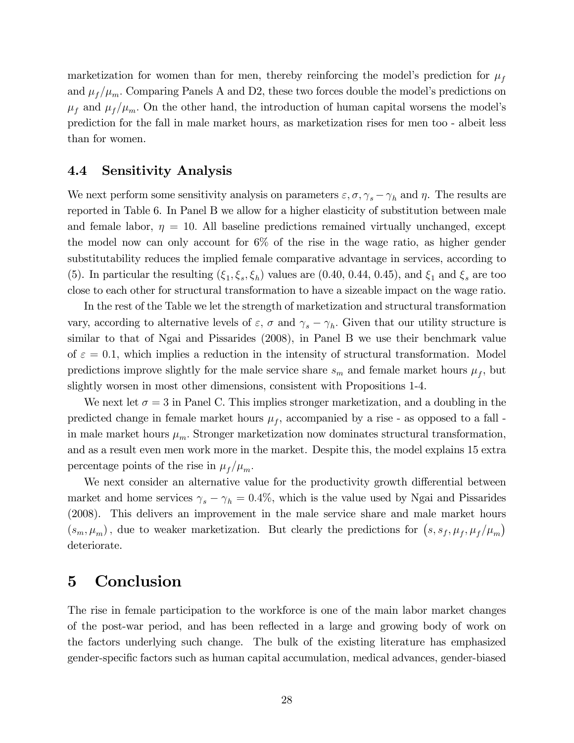marketization for women than for men, thereby reinforcing the model's prediction for  $\mu_f$ and  $\mu_f/\mu_m$ . Comparing Panels A and D2, these two forces double the model's predictions on  $\mu_f$  and  $\mu_f/\mu_m$ . On the other hand, the introduction of human capital worsens the model's prediction for the fall in male market hours, as marketization rises for men too - albeit less than for women.

#### 4.4 Sensitivity Analysis

We next perform some sensitivity analysis on parameters  $\varepsilon, \sigma, \gamma_s - \gamma_h$  and  $\eta$ . The results are reported in Table 6. In Panel B we allow for a higher elasticity of substitution between male and female labor,  $\eta = 10$ . All baseline predictions remained virtually unchanged, except the model now can only account for 6% of the rise in the wage ratio, as higher gender substitutability reduces the implied female comparative advantage in services, according to (5). In particular the resulting  $(\xi_1, \xi_s, \xi_h)$  values are (0.40, 0.44, 0.45), and  $\xi_1$  and  $\xi_s$  are too close to each other for structural transformation to have a sizeable impact on the wage ratio.

In the rest of the Table we let the strength of marketization and structural transformation vary, according to alternative levels of  $\varepsilon$ ,  $\sigma$  and  $\gamma_s - \gamma_h$ . Given that our utility structure is similar to that of Ngai and Pissarides (2008), in Panel B we use their benchmark value of  $\varepsilon = 0.1$ , which implies a reduction in the intensity of structural transformation. Model predictions improve slightly for the male service share  $s_m$  and female market hours  $\mu_f$ , but slightly worsen in most other dimensions, consistent with Propositions 1-4.

We next let  $\sigma = 3$  in Panel C. This implies stronger marketization, and a doubling in the predicted change in female market hours  $\mu_f$ , accompanied by a rise - as opposed to a fall in male market hours  $\mu_m$ . Stronger marketization now dominates structural transformation, and as a result even men work more in the market. Despite this, the model explains 15 extra percentage points of the rise in  $\mu_f / \mu_m$ .

We next consider an alternative value for the productivity growth differential between market and home services  $\gamma_s - \gamma_h = 0.4\%$ , which is the value used by Ngai and Pissarides (2008). This delivers an improvement in the male service share and male market hours  $(s_m, \mu_m)$ , due to weaker marketization. But clearly the predictions for  $(s, s_f, \mu_f, \mu_f/\mu_m)$ deteriorate.

## 5 Conclusion

The rise in female participation to the workforce is one of the main labor market changes of the post-war period, and has been reáected in a large and growing body of work on the factors underlying such change. The bulk of the existing literature has emphasized gender-speciÖc factors such as human capital accumulation, medical advances, gender-biased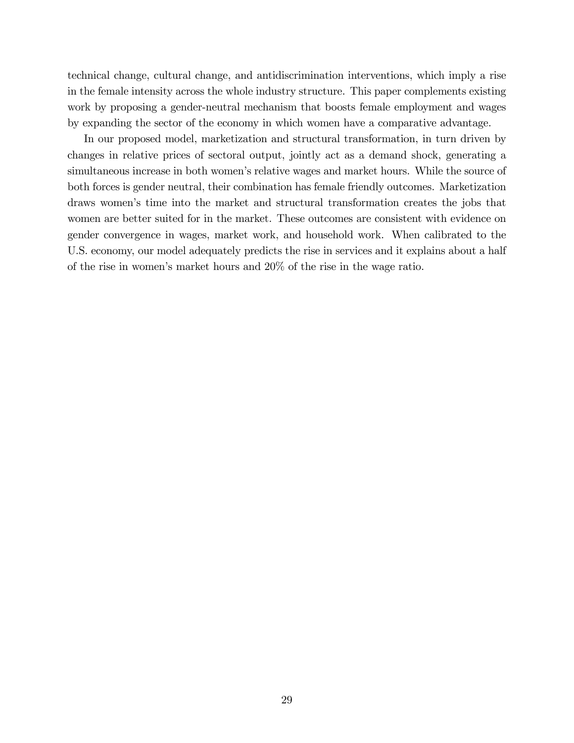technical change, cultural change, and antidiscrimination interventions, which imply a rise in the female intensity across the whole industry structure. This paper complements existing work by proposing a gender-neutral mechanism that boosts female employment and wages by expanding the sector of the economy in which women have a comparative advantage.

In our proposed model, marketization and structural transformation, in turn driven by changes in relative prices of sectoral output, jointly act as a demand shock, generating a simultaneous increase in both women's relative wages and market hours. While the source of both forces is gender neutral, their combination has female friendly outcomes. Marketization draws womenís time into the market and structural transformation creates the jobs that women are better suited for in the market. These outcomes are consistent with evidence on gender convergence in wages, market work, and household work. When calibrated to the U.S. economy, our model adequately predicts the rise in services and it explains about a half of the rise in womenís market hours and 20% of the rise in the wage ratio.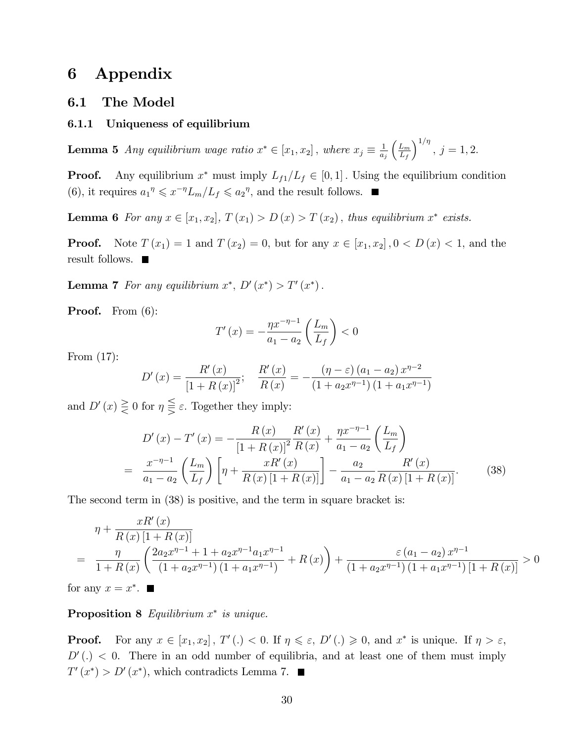## 6 Appendix

#### 6.1 The Model

#### 6.1.1 Uniqueness of equilibrium

**Lemma 5** Any equilibrium wage ratio  $x^* \in [x_1, x_2]$ , where  $x_j \equiv \frac{1}{a_j}$ aj  $\left(\frac{L_m}{L_m}\right)$  $L_f$  $\big)^{1/\eta}$ ,  $j = 1, 2$ .

**Proof.** Any equilibrium  $x^*$  must imply  $L_{f1}/L_f \in [0, 1]$ . Using the equilibrium condition (6), it requires  $a_1^{\eta} \leq x^{-\eta} L_m/L_f \leq a_2^{\eta}$ , and the result follows.

**Lemma 6** For any  $x \in [x_1, x_2], T(x_1) > D(x) > T(x_2)$ , thus equilibrium  $x^*$  exists.

**Proof.** Note  $T(x_1) = 1$  and  $T(x_2) = 0$ , but for any  $x \in [x_1, x_2]$ ,  $0 < D(x) < 1$ , and the result follows.

**Lemma 7** For any equilibrium  $x^*$ ,  $D'(x^*) > T'(x^*)$ .

Proof. From  $(6)$ :

$$
T'(x) = -\frac{\eta x^{-\eta - 1}}{a_1 - a_2} \left(\frac{L_m}{L_f}\right) < 0
$$

From (17):

$$
D'(x) = \frac{R'(x)}{\left[1 + R(x)\right]^2}; \quad \frac{R'(x)}{R(x)} = -\frac{(\eta - \varepsilon)(a_1 - a_2) x^{\eta - 2}}{(1 + a_2 x^{\eta - 1})(1 + a_1 x^{\eta - 1})}
$$

and  $D'(x) \geq 0$  for  $\eta \geq \varepsilon$ . Together they imply:

$$
D'(x) - T'(x) = -\frac{R(x)}{\left[1 + R(x)\right]^2} \frac{R'(x)}{R(x)} + \frac{\eta x^{-\eta - 1}}{a_1 - a_2} \left(\frac{L_m}{L_f}\right)
$$
  
= 
$$
\frac{x^{-\eta - 1}}{a_1 - a_2} \left(\frac{L_m}{L_f}\right) \left[\eta + \frac{xR'(x)}{R(x)\left[1 + R(x)\right]}\right] - \frac{a_2}{a_1 - a_2} \frac{R'(x)}{R(x)\left[1 + R(x)\right]}.
$$
 (38)

The second term in (38) is positive, and the term in square bracket is:

$$
\eta + \frac{xR'(x)}{R(x)[1+R(x)]}
$$
\n
$$
= \frac{\eta}{1+R(x)} \left( \frac{2a_2 x^{\eta-1} + 1 + a_2 x^{\eta-1} a_1 x^{\eta-1}}{(1+a_2 x^{\eta-1})(1+a_1 x^{\eta-1})} + R(x) \right) + \frac{\varepsilon (a_1 - a_2) x^{\eta-1}}{(1+a_2 x^{\eta-1})(1+a_1 x^{\eta-1})[1+R(x)]} > 0
$$
\nFrom  $x = x^*$ .

for any  $x = x^*$ .

**Proposition 8** Equilibrium  $x^*$  is unique.

**Proof.** For any  $x \in [x_1, x_2]$ ,  $T'(.) < 0$ . If  $\eta \le \varepsilon$ ,  $D'(.) \ge 0$ , and  $x^*$  is unique. If  $\eta > \varepsilon$ ,  $D'(.)$  < 0. There in an odd number of equilibria, and at least one of them must imply  $T'(x^*) > D'(x^*)$ , which contradicts Lemma 7.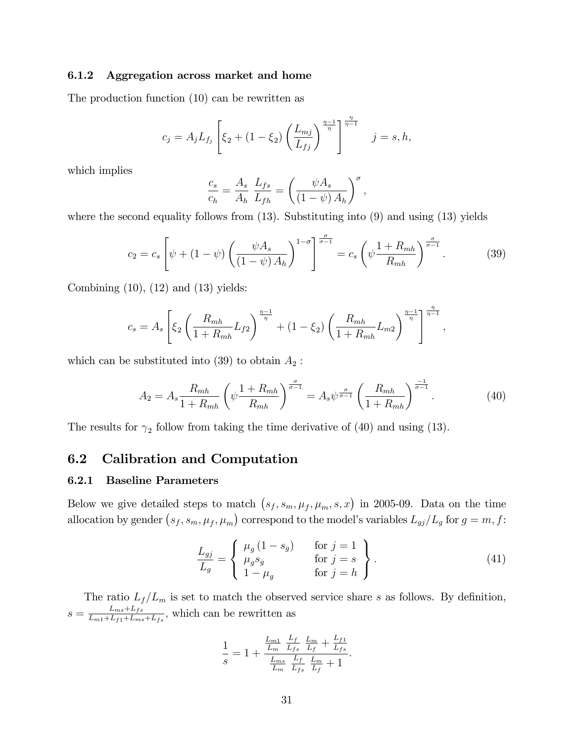#### 6.1.2 Aggregation across market and home

The production function (10) can be rewritten as

$$
c_j = A_j L_{f_j} \left[ \xi_2 + (1 - \xi_2) \left( \frac{L_{mj}}{L_{fj}} \right)^{\frac{\eta - 1}{\eta}} \right]^{-\frac{\eta}{\eta - 1}} \quad j = s, h,
$$

which implies

$$
\frac{c_s}{c_h} = \frac{A_s}{A_h} \frac{L_{fs}}{L_{fh}} = \left(\frac{\psi A_s}{(1 - \psi) A_h}\right)^{\sigma},
$$

where the second equality follows from  $(13)$ . Substituting into  $(9)$  and using  $(13)$  yields

$$
c_2 = c_s \left[ \psi + (1 - \psi) \left( \frac{\psi A_s}{(1 - \psi) A_h} \right)^{1 - \sigma} \right]^{\frac{\sigma}{\sigma - 1}} = c_s \left( \psi \frac{1 + R_{mh}}{R_{mh}} \right)^{\frac{\sigma}{\sigma - 1}}.
$$
 (39)

Combining  $(10)$ ,  $(12)$  and  $(13)$  yields:

$$
c_s = A_s \left[ \xi_2 \left( \frac{R_{mh}}{1 + R_{mh}} L_{f2} \right)^{\frac{\eta - 1}{\eta}} + (1 - \xi_2) \left( \frac{R_{mh}}{1 + R_{mh}} L_{m2} \right)^{\frac{\eta - 1}{\eta}} \right]^{\frac{\eta}{\eta - 1}}
$$

which can be substituted into (39) to obtain  $A_2$ :

$$
A_2 = A_s \frac{R_{mh}}{1 + R_{mh}} \left( \psi \frac{1 + R_{mh}}{R_{mh}} \right)^{\frac{\sigma}{\sigma - 1}} = A_s \psi^{\frac{\sigma}{\sigma - 1}} \left( \frac{R_{mh}}{1 + R_{mh}} \right)^{\frac{-1}{\sigma - 1}}.
$$
 (40)

;

The results for  $\gamma_2$  follow from taking the time derivative of (40) and using (13).

#### 6.2 Calibration and Computation

#### 6.2.1 Baseline Parameters

Below we give detailed steps to match  $(s_f, s_m, \mu_f, \mu_m, s, x)$  in 2005-09. Data on the time allocation by gender  $(s_f, s_m, \mu_f, \mu_m)$  correspond to the model's variables  $L_{gj}/L_g$  for  $g = m, f$ :

$$
\frac{L_{gj}}{L_g} = \begin{cases}\n\mu_g (1 - s_g) & \text{for } j = 1 \\
\mu_g s_g & \text{for } j = s \\
1 - \mu_g & \text{for } j = h\n\end{cases}.
$$
\n(41)

The ratio  $L_f/L_m$  is set to match the observed service share s as follows. By definition,  $s = \frac{L_{ms} + L_{fs}}{L_{\text{max}} + L_{\text{tot}} + L_{\text{max}}}$  $\frac{L_{ms} + L_{fs}}{L_{m1} + L_{f1} + L_{ms} + L_{fs}}$ , which can be rewritten as

$$
\frac{1}{s} = 1 + \frac{\frac{L_{m1}}{L_m} \frac{L_f}{L_{fs}} \frac{L_m}{L_f} + \frac{L_{f1}}{L_{fs}}}{\frac{L_{ms}}{L_m} \frac{L_f}{L_{fs}} \frac{L_m}{L_f} + 1}.
$$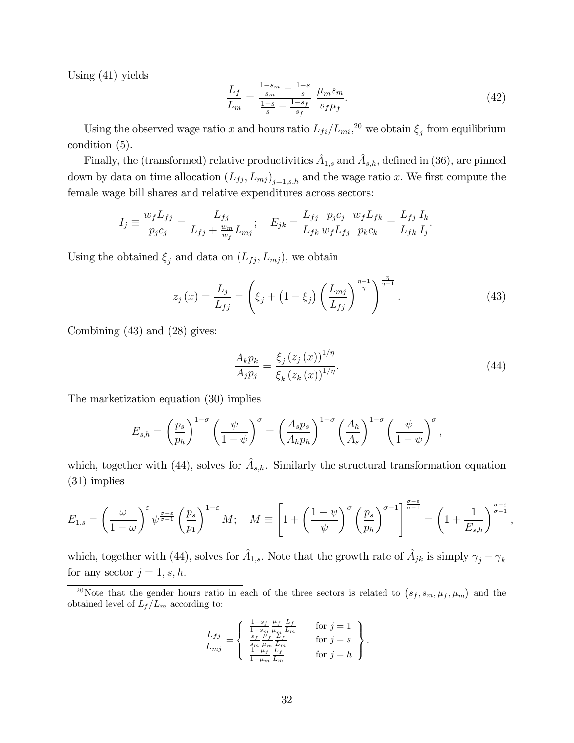Using (41) yields

$$
\frac{L_f}{L_m} = \frac{\frac{1 - s_m}{s_m} - \frac{1 - s}{s}}{\frac{1 - s}{s} - \frac{1 - s_f}{s_f}} \frac{\mu_m s_m}{s_f \mu_f}.
$$
\n(42)

Using the observed wage ratio x and hours ratio  $L_{fi}/L_{mi}$ <sup>20</sup> we obtain  $\xi_j$  from equilibrium condition (5).

Finally, the (transformed) relative productivities  $\hat{A}_{1,s}$  and  $\hat{A}_{s,h}$ , defined in (36), are pinned down by data on time allocation  $(L_{fj}, L_{mj})_{j=1, s,h}$  and the wage ratio x. We first compute the female wage bill shares and relative expenditures across sectors:

$$
I_j \equiv \frac{w_f L_{fj}}{p_j c_j} = \frac{L_{fj}}{L_{fj} + \frac{w_m}{w_f} L_{mj}}; \quad E_{jk} = \frac{L_{fj}}{L_{fk}} \frac{p_j c_j}{w_f L_{fj}} \frac{w_f L_{fk}}{p_k c_k} = \frac{L_{fj}}{L_{fk}} \frac{I_k}{I_j}.
$$

Using the obtained  $\xi_j$  and data on  $(L_{fj}, L_{mj})$ , we obtain

$$
z_j(x) = \frac{L_j}{L_{fj}} = \left(\xi_j + \left(1 - \xi_j\right) \left(\frac{L_{mj}}{L_{fj}}\right)^{\frac{\eta - 1}{\eta}}\right)^{\frac{\eta}{\eta - 1}}.
$$
 (43)

Combining (43) and (28) gives:

$$
\frac{A_k p_k}{A_j p_j} = \frac{\xi_j (z_j (x))^{1/\eta}}{\xi_k (z_k (x))^{1/\eta}}.
$$
\n(44)

The marketization equation (30) implies

$$
E_{s,h} = \left(\frac{p_s}{p_h}\right)^{1-\sigma} \left(\frac{\psi}{1-\psi}\right)^{\sigma} = \left(\frac{A_s p_s}{A_h p_h}\right)^{1-\sigma} \left(\frac{A_h}{A_s}\right)^{1-\sigma} \left(\frac{\psi}{1-\psi}\right)^{\sigma},
$$

which, together with (44), solves for  $\hat{A}_{s,h}$ . Similarly the structural transformation equation (31) implies

$$
E_{1,s} = \left(\frac{\omega}{1-\omega}\right)^{\varepsilon} \psi^{\frac{\sigma-\varepsilon}{\sigma-1}} \left(\frac{p_s}{p_1}\right)^{1-\varepsilon} M; \quad M \equiv \left[1 + \left(\frac{1-\psi}{\psi}\right)^{\sigma} \left(\frac{p_s}{p_h}\right)^{\sigma-1}\right]^{\frac{\sigma-\varepsilon}{\sigma-1}} = \left(1 + \frac{1}{E_{s,h}}\right)^{\frac{\sigma-\varepsilon}{\sigma-1}},
$$

which, together with (44), solves for  $\hat{A}_{1,s}$ . Note that the growth rate of  $\hat{A}_{jk}$  is simply  $\gamma_j - \gamma_k$ for any sector  $j = 1, s, h$ .

$$
\frac{L_{fj}}{L_{mj}} = \begin{cases}\n\frac{1-s_f}{1-s_m} \frac{\mu_f}{\mu_m} \frac{L_f}{L_m} & \text{for } j = 1 \\
\frac{s_f}{s_m} \frac{\mu_f}{\mu_m} \frac{L_f}{L_m} & \text{for } j = s \\
\frac{1-\mu_f}{1-\mu_m} \frac{L_f}{L_m} & \text{for } j = h\n\end{cases}.
$$

<sup>&</sup>lt;sup>20</sup>Note that the gender hours ratio in each of the three sectors is related to  $(s_f, s_m, \mu_f, \mu_m)$  and the obtained level of  $L_f/L_m$  according to: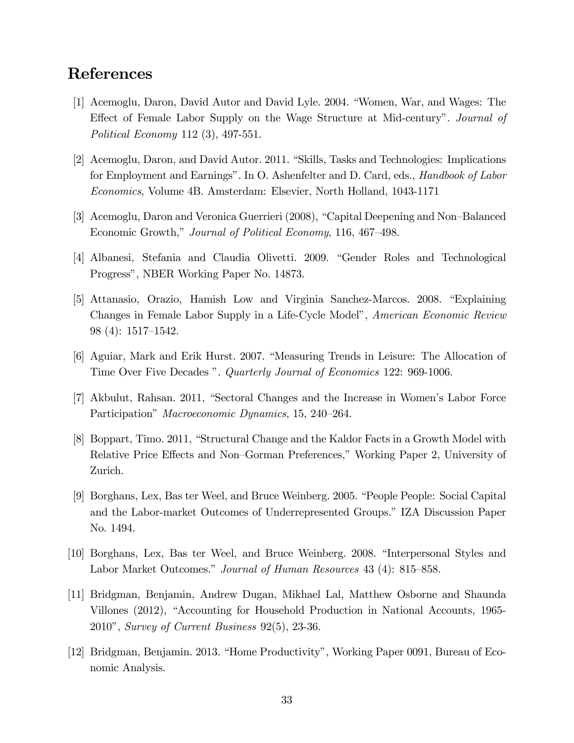## References

- [1] Acemoglu, Daron, David Autor and David Lyle. 2004. "Women, War, and Wages: The Effect of Female Labor Supply on the Wage Structure at Mid-century". Journal of Political Economy 112 (3), 497-551.
- [2] Acemoglu, Daron, and David Autor. 2011. "Skills, Tasks and Technologies: Implications for Employment and Earnings". In O. Ashenfelter and D. Card, eds., *Handbook of Labor* Economics, Volume 4B. Amsterdam: Elsevier, North Holland, 1043-1171
- [3] Acemoglu, Daron and Veronica Guerrieri (2008), "Capital Deepening and Non-Balanced Economic Growth," Journal of Political Economy, 116, 467–498.
- [4] Albanesi, Stefania and Claudia Olivetti. 2009. "Gender Roles and Technological Progressî, NBER Working Paper No. 14873.
- [5] Attanasio, Orazio, Hamish Low and Virginia Sanchez-Marcos. 2008. "Explaining Changes in Female Labor Supply in a Life-Cycle Model", American Economic Review  $98(4): 1517-1542.$
- [6] Aguiar, Mark and Erik Hurst. 2007. "Measuring Trends in Leisure: The Allocation of Time Over Five Decades ". Quarterly Journal of Economics 122: 969-1006.
- [7] Akbulut, Rahsan. 2011, "Sectoral Changes and the Increase in Women's Labor Force Participation" *Macroeconomic Dynamics*, 15, 240–264.
- [8] Boppart, Timo. 2011, "Structural Change and the Kaldor Facts in a Growth Model with Relative Price Effects and Non–Gorman Preferences," Working Paper 2, University of Zurich.
- [9] Borghans, Lex, Bas ter Weel, and Bruce Weinberg. 2005. "People People: Social Capital and the Labor-market Outcomes of Underrepresented Groups.î IZA Discussion Paper No. 1494.
- [10] Borghans, Lex, Bas ter Weel, and Bruce Weinberg. 2008. "Interpersonal Styles and Labor Market Outcomes." Journal of Human Resources 43 (4): 815–858.
- [11] Bridgman, Benjamin, Andrew Dugan, Mikhael Lal, Matthew Osborne and Shaunda Villones (2012), "Accounting for Household Production in National Accounts, 1965-2010î, Survey of Current Business 92(5), 23-36.
- [12] Bridgman, Benjamin. 2013. "Home Productivity", Working Paper 0091, Bureau of Economic Analysis.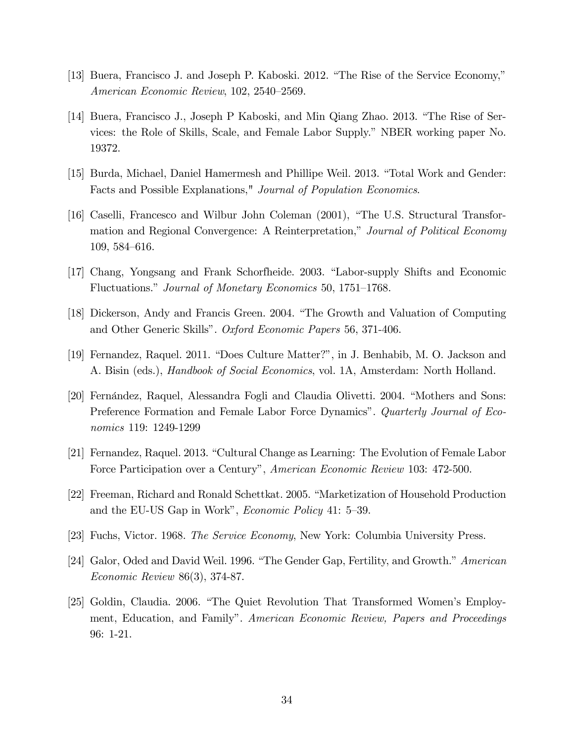- [13] Buera, Francisco J. and Joseph P. Kaboski. 2012. "The Rise of the Service Economy," American Economic Review, 102, 2540–2569.
- [14] Buera, Francisco J., Joseph P Kaboski, and Min Qiang Zhao. 2013. "The Rise of Services: the Role of Skills, Scale, and Female Labor Supply.î NBER working paper No. 19372.
- [15] Burda, Michael, Daniel Hamermesh and Phillipe Weil. 2013. "Total Work and Gender: Facts and Possible Explanations," Journal of Population Economics.
- [16] Caselli, Francesco and Wilbur John Coleman (2001), "The U.S. Structural Transformation and Regional Convergence: A Reinterpretation," Journal of Political Economy 109, 584–616.
- [17] Chang, Yongsang and Frank Schorfheide. 2003. "Labor-supply Shifts and Economic Fluctuations." Journal of Monetary Economics 50, 1751–1768.
- [18] Dickerson, Andy and Francis Green. 2004. "The Growth and Valuation of Computing and Other Generic Skills". Oxford Economic Papers 56, 371-406.
- [19] Fernandez, Raquel. 2011. "Does Culture Matter?", in J. Benhabib, M. O. Jackson and A. Bisin (eds.), *Handbook of Social Economics*, vol. 1A, Amsterdam: North Holland.
- [20] Fernández, Raquel, Alessandra Fogli and Claudia Olivetti. 2004. "Mothers and Sons: Preference Formation and Female Labor Force Dynamics". Quarterly Journal of Economics 119: 1249-1299
- [21] Fernandez, Raquel. 2013. "Cultural Change as Learning: The Evolution of Female Labor Force Participation over a Century", American Economic Review 103: 472-500.
- [22] Freeman, Richard and Ronald Schettkat. 2005. "Marketization of Household Production and the EU-US Gap in Work", *Economic Policy* 41: 5-39.
- [23] Fuchs, Victor. 1968. The Service Economy, New York: Columbia University Press.
- [24] Galor, Oded and David Weil. 1996. "The Gender Gap, Fertility, and Growth." American Economic Review 86(3), 374-87.
- [25] Goldin, Claudia. 2006. "The Quiet Revolution That Transformed Women's Employment, Education, and Family". American Economic Review, Papers and Proceedings 96: 1-21.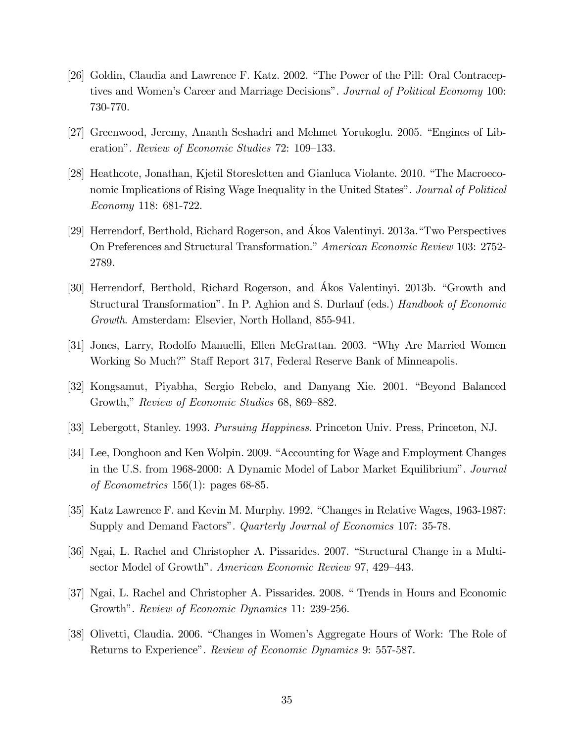- [26] Goldin, Claudia and Lawrence F. Katz. 2002. "The Power of the Pill: Oral Contraceptives and Women's Career and Marriage Decisions". Journal of Political Economy 100: 730-770.
- [27] Greenwood, Jeremy, Ananth Seshadri and Mehmet Yorukoglu. 2005. "Engines of Liberation". Review of Economic Studies 72: 109–133.
- [28] Heathcote, Jonathan, Kjetil Storesletten and Gianluca Violante. 2010. "The Macroeconomic Implications of Rising Wage Inequality in the United States". Journal of Political Economy 118: 681-722.
- [29] Herrendorf, Berthold, Richard Rogerson, and Ákos Valentinyi. 2013a. "Two Perspectives On Preferences and Structural Transformation." American Economic Review 103: 2752-2789.
- [30] Herrendorf, Berthold, Richard Rogerson, and Akos Valentinyi. 2013b. "Growth and Structural Transformation". In P. Aghion and S. Durlauf (eds.) Handbook of Economic Growth. Amsterdam: Elsevier, North Holland, 855-941.
- [31] Jones, Larry, Rodolfo Manuelli, Ellen McGrattan. 2003. "Why Are Married Women Working So Much?" Staff Report 317, Federal Reserve Bank of Minneapolis.
- [32] Kongsamut, Piyabha, Sergio Rebelo, and Danyang Xie. 2001. "Beyond Balanced Growth," Review of Economic Studies 68, 869-882.
- [33] Lebergott, Stanley. 1993. Pursuing Happiness. Princeton Univ. Press, Princeton, NJ.
- [34] Lee, Donghoon and Ken Wolpin. 2009. "Accounting for Wage and Employment Changes in the U.S. from 1968-2000: A Dynamic Model of Labor Market Equilibrium<sup>n</sup>. Journal of Econometrics 156(1): pages 68-85.
- [35] Katz Lawrence F. and Kevin M. Murphy. 1992. "Changes in Relative Wages, 1963-1987: Supply and Demand Factors". *Quarterly Journal of Economics* 107: 35-78.
- [36] Ngai, L. Rachel and Christopher A. Pissarides. 2007. "Structural Change in a Multisector Model of Growth". American Economic Review 97, 429–443.
- [37] Ngai, L. Rachel and Christopher A. Pissarides. 2008. "Trends in Hours and Economic Growth". Review of Economic Dynamics 11: 239-256.
- [38] Olivetti, Claudia. 2006. "Changes in Women's Aggregate Hours of Work: The Role of Returns to Experience". Review of Economic Dynamics 9: 557-587.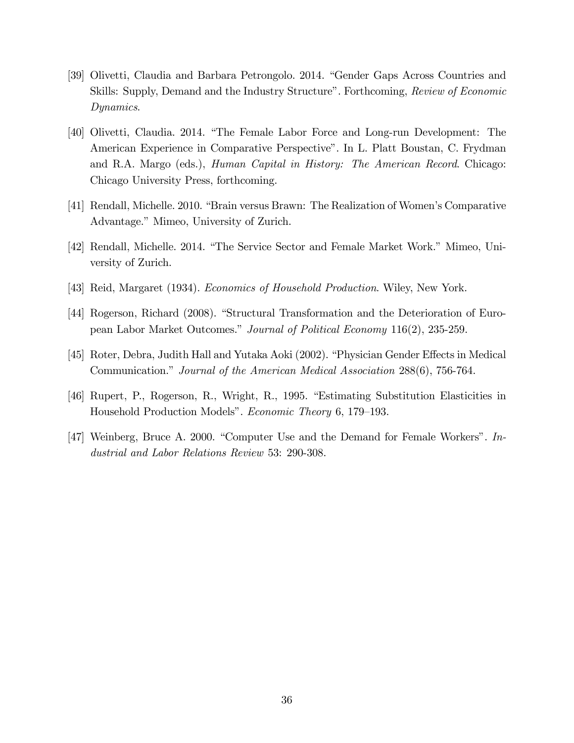- [39] Olivetti, Claudia and Barbara Petrongolo. 2014. "Gender Gaps Across Countries and Skills: Supply, Demand and the Industry Structure". Forthcoming, Review of Economic Dynamics.
- [40] Olivetti, Claudia. 2014. "The Female Labor Force and Long-run Development: The American Experience in Comparative Perspectiveî. In L. Platt Boustan, C. Frydman and R.A. Margo (eds.), Human Capital in History: The American Record. Chicago: Chicago University Press, forthcoming.
- [41] Rendall, Michelle. 2010. "Brain versus Brawn: The Realization of Women's Comparative Advantage." Mimeo, University of Zurich.
- [42] Rendall, Michelle. 2014. "The Service Sector and Female Market Work." Mimeo, University of Zurich.
- [43] Reid, Margaret (1934). Economics of Household Production. Wiley, New York.
- [44] Rogerson, Richard (2008). "Structural Transformation and the Deterioration of European Labor Market Outcomes." Journal of Political Economy 116(2), 235-259.
- [45] Roter, Debra, Judith Hall and Yutaka Aoki (2002). "Physician Gender Effects in Medical Communication." Journal of the American Medical Association 288(6), 756-764.
- [46] Rupert, P., Rogerson, R., Wright, R., 1995. "Estimating Substitution Elasticities in Household Production Models". Economic Theory 6, 179–193.
- [47] Weinberg, Bruce A. 2000. "Computer Use and the Demand for Female Workers". Industrial and Labor Relations Review 53: 290-308.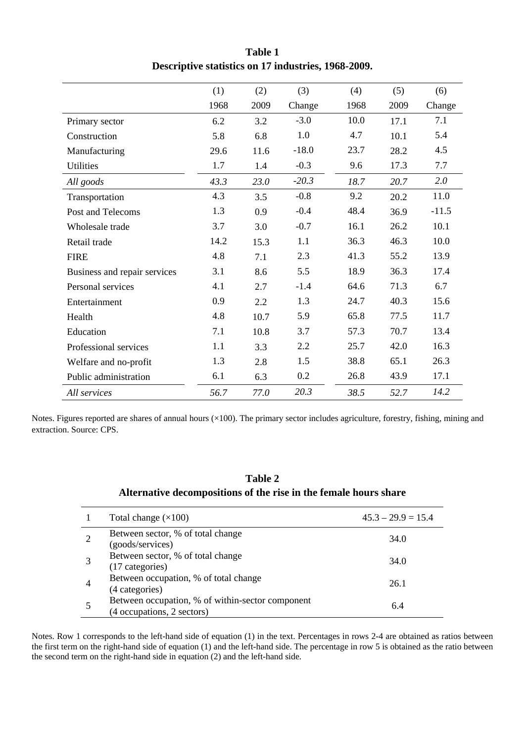|                              | (1)  | (2)  | (3)     | (4)  | (5)  | (6)     |
|------------------------------|------|------|---------|------|------|---------|
|                              | 1968 | 2009 | Change  | 1968 | 2009 | Change  |
| Primary sector               | 6.2  | 3.2  | $-3.0$  | 10.0 | 17.1 | 7.1     |
| Construction                 | 5.8  | 6.8  | 1.0     | 4.7  | 10.1 | 5.4     |
| Manufacturing                | 29.6 | 11.6 | $-18.0$ | 23.7 | 28.2 | 4.5     |
| <b>Utilities</b>             | 1.7  | 1.4  | $-0.3$  | 9.6  | 17.3 | 7.7     |
| All goods                    | 43.3 | 23.0 | $-20.3$ | 18.7 | 20.7 | 2.0     |
| Transportation               | 4.3  | 3.5  | $-0.8$  | 9.2  | 20.2 | 11.0    |
| Post and Telecoms            | 1.3  | 0.9  | $-0.4$  | 48.4 | 36.9 | $-11.5$ |
| Wholesale trade              | 3.7  | 3.0  | $-0.7$  | 16.1 | 26.2 | 10.1    |
| Retail trade                 | 14.2 | 15.3 | 1.1     | 36.3 | 46.3 | 10.0    |
| <b>FIRE</b>                  | 4.8  | 7.1  | 2.3     | 41.3 | 55.2 | 13.9    |
| Business and repair services | 3.1  | 8.6  | 5.5     | 18.9 | 36.3 | 17.4    |
| Personal services            | 4.1  | 2.7  | $-1.4$  | 64.6 | 71.3 | 6.7     |
| Entertainment                | 0.9  | 2.2  | 1.3     | 24.7 | 40.3 | 15.6    |
| Health                       | 4.8  | 10.7 | 5.9     | 65.8 | 77.5 | 11.7    |
| Education                    | 7.1  | 10.8 | 3.7     | 57.3 | 70.7 | 13.4    |
| Professional services        | 1.1  | 3.3  | 2.2     | 25.7 | 42.0 | 16.3    |
| Welfare and no-profit        | 1.3  | 2.8  | 1.5     | 38.8 | 65.1 | 26.3    |
| Public administration        | 6.1  | 6.3  | 0.2     | 26.8 | 43.9 | 17.1    |
| All services                 | 56.7 | 77.0 | 20.3    | 38.5 | 52.7 | 14.2    |

**Table 1 Descriptive statistics on 17 industries, 1968-2009.** 

Notes. Figures reported are shares of annual hours (×100). The primary sector includes agriculture, forestry, fishing, mining and extraction. Source: CPS.

### **Table 2 Alternative decompositions of the rise in the female hours share**

| Total change $(\times 100)$                                                    | $45.3 - 29.9 = 15.4$ |
|--------------------------------------------------------------------------------|----------------------|
| Between sector, % of total change<br>(goods/services)                          | 34.0                 |
| Between sector, % of total change<br>(17 categories)                           | 34.0                 |
| Between occupation, % of total change<br>(4 categories)                        | 26.1                 |
| Between occupation, % of within-sector component<br>(4 occupations, 2 sectors) | 6.4                  |

Notes. Row 1 corresponds to the left-hand side of equation (1) in the text. Percentages in rows 2-4 are obtained as ratios between the first term on the right-hand side of equation (1) and the left-hand side. The percentage in row 5 is obtained as the ratio between the second term on the right-hand side in equation (2) and the left-hand side.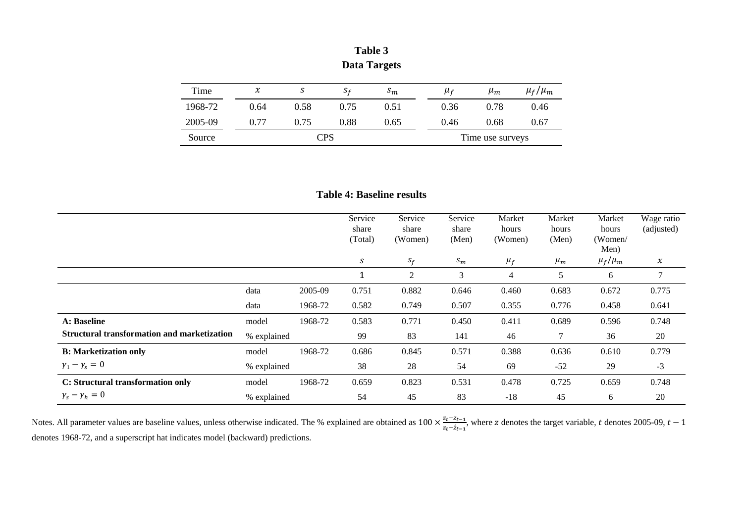| Time    | $\chi$ | S    | $S_f$            | $s_m$ | $\mu_f$ |  | $\mu_m$ | $\mu_f/\mu_m$ |
|---------|--------|------|------------------|-------|---------|--|---------|---------------|
| 1968-72 | 0.64   | 0.58 | 0.75             | 0.51  | 0.36    |  | 0.78    | 0.46          |
| 2005-09 | 0.77   | 0.75 | 0.88             | 0.65  | 0.46    |  | 0.68    | 0.67          |
| Source  |        |      | Time use surveys |       |         |  |         |               |

**Table 3 Data Targets** 

| <b>Table 4: Baseline results</b> |
|----------------------------------|
|----------------------------------|

|                                                    |             |         | Service<br>share<br>(Total) | Service<br>share<br>(Women) | Service<br>share<br>(Men) | Market<br>hours<br>(Women) | Market<br>hours<br>(Men) | Market<br>hours<br>(Women/<br>Men) | Wage ratio<br>(adjusted) |
|----------------------------------------------------|-------------|---------|-----------------------------|-----------------------------|---------------------------|----------------------------|--------------------------|------------------------------------|--------------------------|
|                                                    |             |         | S                           | $S_f$                       | $S_m$                     | $\mu_f$                    | $\mu_m$                  | $\mu_f/\mu_m$                      | $\chi$                   |
|                                                    |             |         | 1                           | $\mathfrak{2}$              | 3                         | 4                          | 5                        | 6                                  | 7                        |
|                                                    | data        | 2005-09 | 0.751                       | 0.882                       | 0.646                     | 0.460                      | 0.683                    | 0.672                              | 0.775                    |
|                                                    | data        | 1968-72 | 0.582                       | 0.749                       | 0.507                     | 0.355                      | 0.776                    | 0.458                              | 0.641                    |
| A: Baseline                                        | model       | 1968-72 | 0.583                       | 0.771                       | 0.450                     | 0.411                      | 0.689                    | 0.596                              | 0.748                    |
| <b>Structural transformation and marketization</b> | % explained |         | 99                          | 83                          | 141                       | 46                         |                          | 36                                 | 20                       |
| <b>B:</b> Marketization only                       | model       | 1968-72 | 0.686                       | 0.845                       | 0.571                     | 0.388                      | 0.636                    | 0.610                              | 0.779                    |
| $\gamma_1 - \gamma_s = 0$                          | % explained |         | 38                          | 28                          | 54                        | 69                         | $-52$                    | 29                                 | $-3$                     |
| C: Structural transformation only                  | model       | 1968-72 | 0.659                       | 0.823                       | 0.531                     | 0.478                      | 0.725                    | 0.659                              | 0.748                    |
| $\gamma_s - \gamma_h = 0$                          | % explained |         | 54                          | 45                          | 83                        | $-18$                      | 45                       | 6                                  | 20                       |

Notes. All parameter values are baseline values, unless otherwise indicated. The % explained are obtained as  $100 \times \frac{z_t - z_{t-1}}{z_t - \hat{z}_{t-1}}$ , where z denotes the target variable, t denotes 2005-09,  $t - 1$ denotes 1968-72, and a superscript hat indicates model (backward) predictions.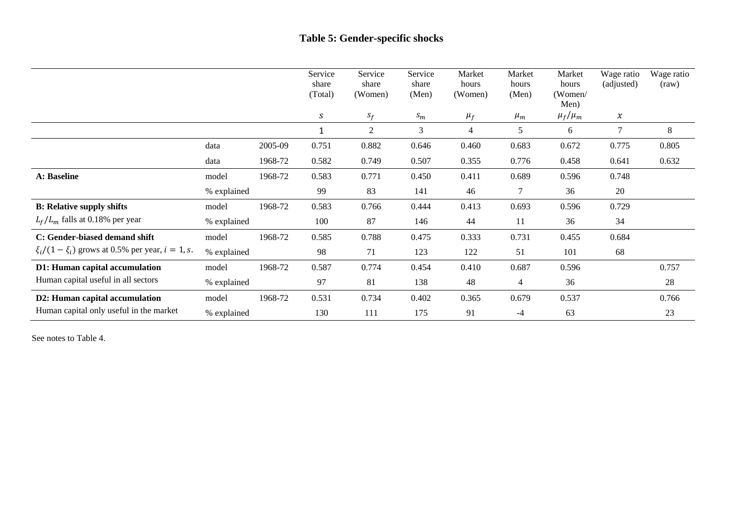### **Table 5: Gender-specific shocks**

|                                                        |             |         | Service<br>share<br>(Total) | Service<br>share<br>(Women) | Service<br>share<br>(Men) | Market<br>hours<br>(Women) | Market<br>hours<br>(Men) | Market<br>hours<br>(Women/<br>Men) | Wage ratio<br>(adjusted) | Wage ratio<br>(raw) |
|--------------------------------------------------------|-------------|---------|-----------------------------|-----------------------------|---------------------------|----------------------------|--------------------------|------------------------------------|--------------------------|---------------------|
|                                                        |             |         | S                           | $S_f$                       | $S_m$                     | $\mu_f$                    | $\mu_m$                  | $\mu_f/\mu_m$                      | $\chi$                   |                     |
|                                                        |             |         | 1                           | $\overline{2}$              | 3                         | $\overline{4}$             | 5                        | 6                                  | 7                        | 8                   |
|                                                        | data        | 2005-09 | 0.751                       | 0.882                       | 0.646                     | 0.460                      | 0.683                    | 0.672                              | 0.775                    | 0.805               |
|                                                        | data        | 1968-72 | 0.582                       | 0.749                       | 0.507                     | 0.355                      | 0.776                    | 0.458                              | 0.641                    | 0.632               |
| A: Baseline                                            | model       | 1968-72 | 0.583                       | 0.771                       | 0.450                     | 0.411                      | 0.689                    | 0.596                              | 0.748                    |                     |
|                                                        | % explained |         | 99                          | 83                          | 141                       | 46                         | 7                        | 36                                 | 20                       |                     |
| <b>B:</b> Relative supply shifts                       | model       | 1968-72 | 0.583                       | 0.766                       | 0.444                     | 0.413                      | 0.693                    | 0.596                              | 0.729                    |                     |
| $L_f/L_m$ falls at 0.18% per year                      | % explained |         | 100                         | 87                          | 146                       | 44                         | 11                       | 36                                 | 34                       |                     |
| C: Gender-biased demand shift                          | model       | 1968-72 | 0.585                       | 0.788                       | 0.475                     | 0.333                      | 0.731                    | 0.455                              | 0.684                    |                     |
| $\xi_i/(1-\xi_i)$ grows at 0.5% per year, $i = 1$ , s. | % explained |         | 98                          | 71                          | 123                       | 122                        | 51                       | 101                                | 68                       |                     |
| D1: Human capital accumulation                         | model       | 1968-72 | 0.587                       | 0.774                       | 0.454                     | 0.410                      | 0.687                    | 0.596                              |                          | 0.757               |
| Human capital useful in all sectors                    | % explained |         | 97                          | 81                          | 138                       | 48                         | 4                        | 36                                 |                          | 28                  |
| D2: Human capital accumulation                         | model       | 1968-72 | 0.531                       | 0.734                       | 0.402                     | 0.365                      | 0.679                    | 0.537                              |                          | 0.766               |
| Human capital only useful in the market                | % explained |         | 130                         | 111                         | 175                       | 91                         | $-4$                     | 63                                 |                          | 23                  |

See notes to Table 4.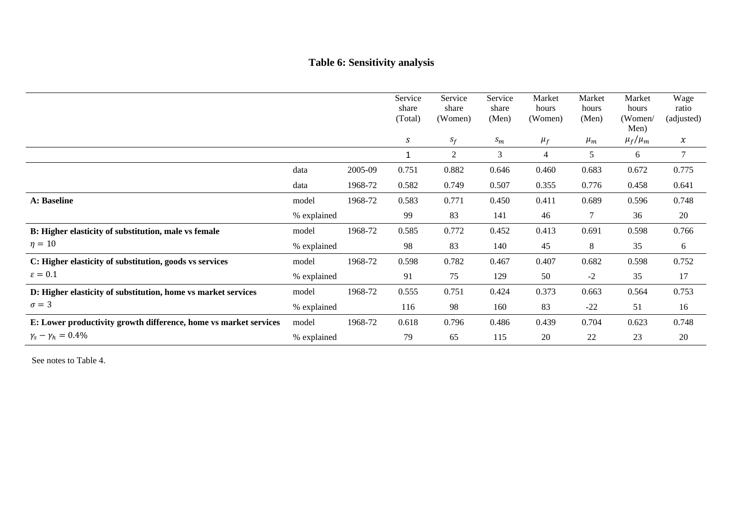## **Table 6: Sensitivity analysis**

|                                                                  |             |         | Service<br>share<br>(Total) | Service<br>share<br>(Women) | Service<br>share<br>(Men) | Market<br>hours<br>(Women) | Market<br>hours<br>(Men) | Market<br>hours<br>(Women/<br>Men) | Wage<br>ratio<br>(adjusted) |
|------------------------------------------------------------------|-------------|---------|-----------------------------|-----------------------------|---------------------------|----------------------------|--------------------------|------------------------------------|-----------------------------|
|                                                                  |             |         | S                           | $S_f$                       | $S_m$                     | $\mu_f$                    | $\mu_m$                  | $\mu_f/\mu_m$                      | $\chi$                      |
|                                                                  |             |         |                             | 2                           | 3                         | 4                          | 5                        | 6                                  | 7                           |
|                                                                  | data        | 2005-09 | 0.751                       | 0.882                       | 0.646                     | 0.460                      | 0.683                    | 0.672                              | 0.775                       |
|                                                                  | data        | 1968-72 | 0.582                       | 0.749                       | 0.507                     | 0.355                      | 0.776                    | 0.458                              | 0.641                       |
| A: Baseline                                                      | model       | 1968-72 | 0.583                       | 0.771                       | 0.450                     | 0.411                      | 0.689                    | 0.596                              | 0.748                       |
|                                                                  | % explained |         | 99                          | 83                          | 141                       | 46                         | 7                        | 36                                 | 20                          |
| B: Higher elasticity of substitution, male vs female             | model       | 1968-72 | 0.585                       | 0.772                       | 0.452                     | 0.413                      | 0.691                    | 0.598                              | 0.766                       |
| $\eta=10$                                                        | % explained |         | 98                          | 83                          | 140                       | 45                         | 8                        | 35                                 | 6                           |
| C: Higher elasticity of substitution, goods vs services          | model       | 1968-72 | 0.598                       | 0.782                       | 0.467                     | 0.407                      | 0.682                    | 0.598                              | 0.752                       |
| $\varepsilon = 0.1$                                              | % explained |         | 91                          | 75                          | 129                       | 50                         | $-2$                     | 35                                 | 17                          |
| D: Higher elasticity of substitution, home vs market services    | model       | 1968-72 | 0.555                       | 0.751                       | 0.424                     | 0.373                      | 0.663                    | 0.564                              | 0.753                       |
| $\sigma = 3$                                                     | % explained |         | 116                         | 98                          | 160                       | 83                         | $-22$                    | 51                                 | 16                          |
| E: Lower productivity growth difference, home vs market services | model       | 1968-72 | 0.618                       | 0.796                       | 0.486                     | 0.439                      | 0.704                    | 0.623                              | 0.748                       |
| $\gamma_s - \gamma_h = 0.4\%$                                    | % explained |         | 79                          | 65                          | 115                       | 20                         | 22                       | 23                                 | 20                          |

See notes to Table 4.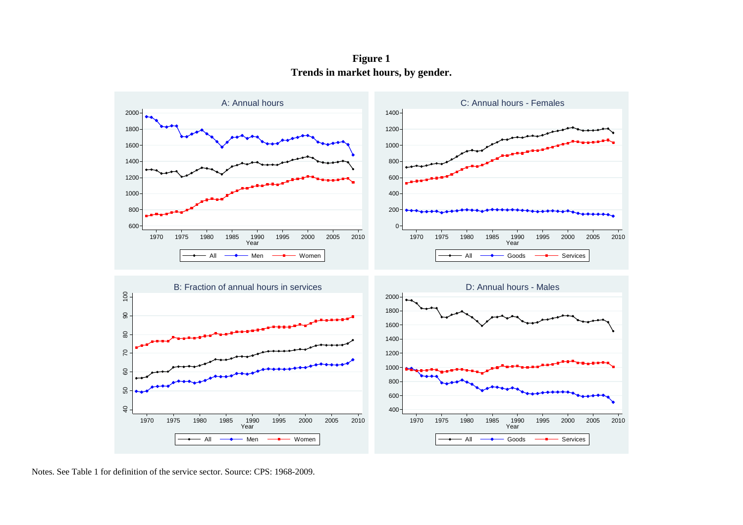**Figure 1 Trends in market hours, by gender.** 



Notes. See Table 1 for definition of the service sector. Source: CPS: 1968-2009.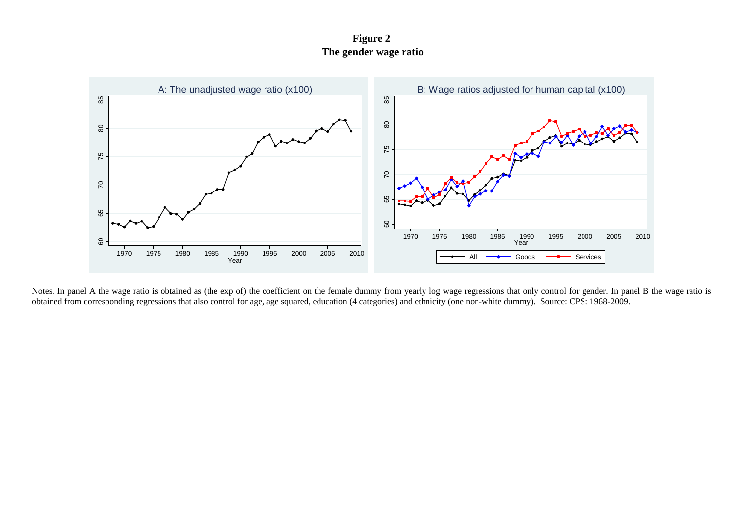**Figure 2 The gender wage ratio** 



Notes. In panel A the wage ratio is obtained as (the exp of) the coefficient on the female dummy from yearly log wage regressions that only control for gender. In panel B the wage ratio is obtained from corresponding regressions that also control for age, age squared, education (4 categories) and ethnicity (one non-white dummy). Source: CPS: 1968-2009.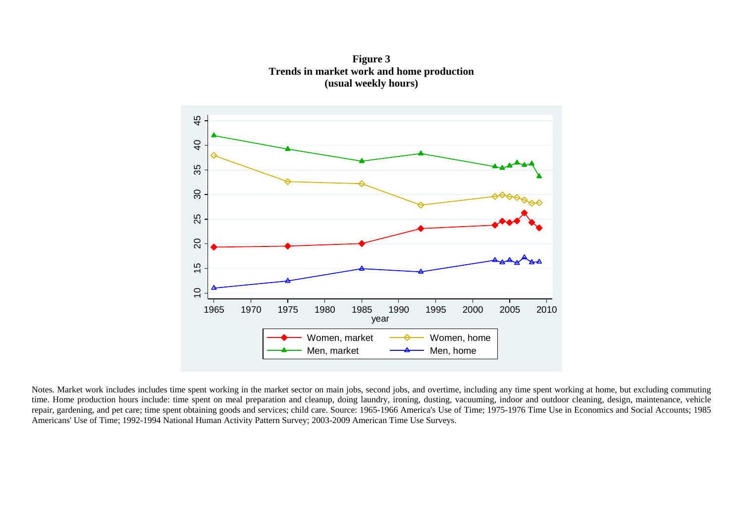$45 -$ 10 15 20 25 30 35 40 45  $\overline{Q}$ 35  $\overline{30}$ 25 20  $\frac{1}{2}$  $\overline{C}$ ┯ 1965 1970 1975 1980 1985 1990 1995 2000 2005 2010 year Women, market  $\longrightarrow$  Women, home Men, market  $\frac{\phantom{0}}{\phantom{0}} \frac{4}{\phantom{0}}$  Men, home

**Figure 3 Trends in market work and home production (usual weekly hours)** 

Notes. Market work includes includes time spent working in the market sector on main jobs, second jobs, and overtime, including any time spent working at home, but excluding commuting time. Home production hours include: time spent on meal preparation and cleanup, doing laundry, ironing, dusting, vacuuming, indoor and outdoor cleaning, design, maintenance, vehicle repair, gardening, and pet care; time spent obtaining goods and services; child care. Source: 1965-1966 America's Use of Time; 1975-1976 Time Use in Economics and Social Accounts; 1985 Americans' Use of Time; 1992-1994 National Human Activity Pattern Survey; 2003-2009 American Time Use Surveys.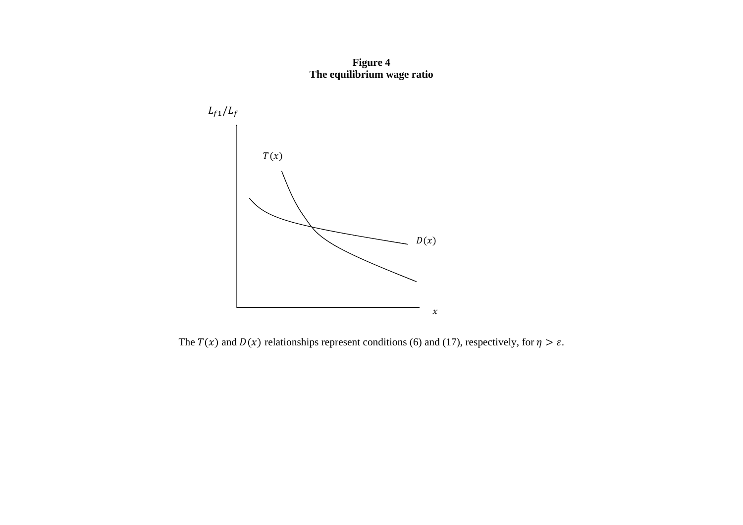**Figure 4 The equilibrium wage ratio** 



The  $T(x)$  and  $D(x)$  relationships represent conditions (6) and (17), respectively, for  $\eta > \varepsilon$ .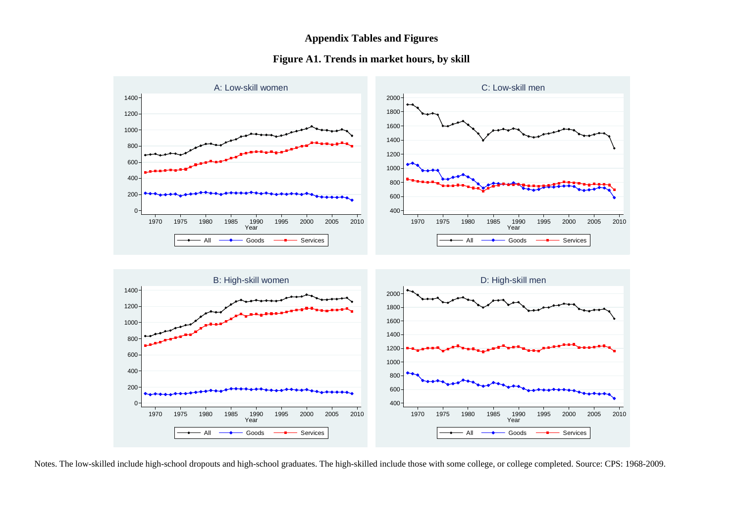### **Appendix Tables and Figures**

#### **Figure A1. Trends in market hours, by skill**



Notes. The low-skilled include high-school dropouts and high-school graduates. The high-skilled include those with some college, or college completed. Source: CPS: 1968-2009.